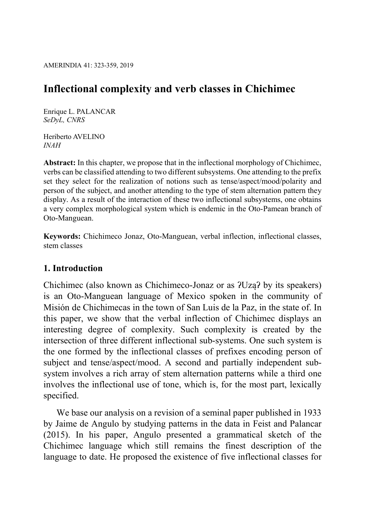# Inflectional complexity and verb classes in Chichimec

Enrique L. PALANCAR SeDyL, CNRS

Heriberto AVELINO INAH

Abstract: In this chapter, we propose that in the inflectional morphology of Chichimec, verbs can be classified attending to two different subsystems. One attending to the prefix set they select for the realization of notions such as tense/aspect/mood/polarity and person of the subject, and another attending to the type of stem alternation pattern they display. As a result of the interaction of these two inflectional subsystems, one obtains a very complex morphological system which is endemic in the Oto-Pamean branch of Oto-Manguean.

Keywords: Chichimeco Jonaz, Oto-Manguean, verbal inflection, inflectional classes, stem classes

# 1. Introduction

Chichimec (also known as Chichimeco-Jonaz or as ʔUząʔ by its speakers) is an Oto-Manguean language of Mexico spoken in the community of Misión de Chichimecas in the town of San Luis de la Paz, in the state of. In this paper, we show that the verbal inflection of Chichimec displays an interesting degree of complexity. Such complexity is created by the intersection of three different inflectional sub-systems. One such system is the one formed by the inflectional classes of prefixes encoding person of subject and tense/aspect/mood. A second and partially independent subsystem involves a rich array of stem alternation patterns while a third one involves the inflectional use of tone, which is, for the most part, lexically specified.

We base our analysis on a revision of a seminal paper published in 1933 by Jaime de Angulo by studying patterns in the data in Feist and Palancar (2015). In his paper, Angulo presented a grammatical sketch of the Chichimec language which still remains the finest description of the language to date. He proposed the existence of five inflectional classes for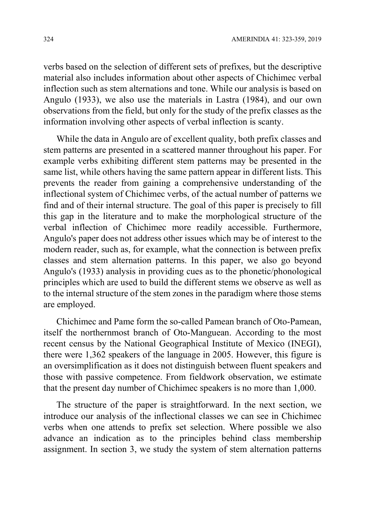verbs based on the selection of different sets of prefixes, but the descriptive material also includes information about other aspects of Chichimec verbal inflection such as stem alternations and tone. While our analysis is based on Angulo (1933), we also use the materials in Lastra (1984), and our own observations from the field, but only for the study of the prefix classes as the information involving other aspects of verbal inflection is scanty.

While the data in Angulo are of excellent quality, both prefix classes and stem patterns are presented in a scattered manner throughout his paper. For example verbs exhibiting different stem patterns may be presented in the same list, while others having the same pattern appear in different lists. This prevents the reader from gaining a comprehensive understanding of the inflectional system of Chichimec verbs, of the actual number of patterns we find and of their internal structure. The goal of this paper is precisely to fill this gap in the literature and to make the morphological structure of the verbal inflection of Chichimec more readily accessible. Furthermore, Angulo's paper does not address other issues which may be of interest to the modern reader, such as, for example, what the connection is between prefix classes and stem alternation patterns. In this paper, we also go beyond Angulo's (1933) analysis in providing cues as to the phonetic/phonological principles which are used to build the different stems we observe as well as to the internal structure of the stem zones in the paradigm where those stems are employed.

Chichimec and Pame form the so-called Pamean branch of Oto-Pamean, itself the northernmost branch of Oto-Manguean. According to the most recent census by the National Geographical Institute of Mexico (INEGI), there were 1,362 speakers of the language in 2005. However, this figure is an oversimplification as it does not distinguish between fluent speakers and those with passive competence. From fieldwork observation, we estimate that the present day number of Chichimec speakers is no more than 1,000.

The structure of the paper is straightforward. In the next section, we introduce our analysis of the inflectional classes we can see in Chichimec verbs when one attends to prefix set selection. Where possible we also advance an indication as to the principles behind class membership assignment. In section 3, we study the system of stem alternation patterns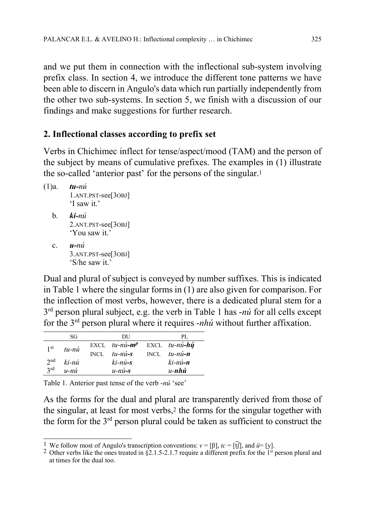and we put them in connection with the inflectional sub-system involving prefix class. In section 4, we introduce the different tone patterns we have been able to discern in Angulo's data which run partially independently from the other two sub-systems. In section 5, we finish with a discussion of our findings and make suggestions for further research.

# 2. Inflectional classes according to prefix set

Verbs in Chichimec inflect for tense/aspect/mood (TAM) and the person of the subject by means of cumulative prefixes. The examples in (1) illustrate the so-called 'anterior past' for the persons of the singular.<sup>1</sup>

```
(1)a. tu-nú
      1.ANT.PST-see[3OBJ] 
      'I saw it.' 
b. ki-ni2.ANT.PST-see[3OBJ] 
      'You saw it.' 
c. u-nu3.ANT.PST-see[3OBJ] 
      'S/he saw it.'
```
Dual and plural of subject is conveyed by number suffixes. This is indicated in Table 1 where the singular forms in (1) are also given for comparison. For the inflection of most verbs, however, there is a dedicated plural stem for a  $3<sup>rd</sup>$  person plural subject, e.g. the verb in Table 1 has -nú for all cells except for the  $3<sup>rd</sup>$  person plural where it requires *-nhú* without further affixation.

|                 | SG        |             | DU                                        | PL.            |  |
|-----------------|-----------|-------------|-------------------------------------------|----------------|--|
| 1 <sup>st</sup> | $tu - ni$ |             | $EXCL$ tu-nú-m <sup>p</sup> EXCL tu-nú-hú |                |  |
|                 |           | <b>INCL</b> | $tu - ni - s$                             | INCL $tu-nu-n$ |  |
| $2^{nd}$        | ki-nú     |             | $ki$ -nú-s                                | $ki$ -nú-n     |  |
| 2rd             | $u - ni$  |             | $u - ni - s$                              | $u$ -nhú       |  |

Table 1. Anterior past tense of the verb -nú 'see'

As the forms for the dual and plural are transparently derived from those of the singular, at least for most verbs,2 the forms for the singular together with the form for the 3rd person plural could be taken as sufficient to construct the

 $\overline{1}$ <sup>1</sup> We follow most of Angulo's transcription conventions:  $v = [\beta]$ ,  $tc = [\hat{t}]\hat{t}$ , and  $\hat{u} = [y]$ .

<sup>&</sup>lt;sup>2</sup> Other verbs like the ones treated in  $\hat{S}2.1.5$ -2.1.7 require a different prefix for the <sup>1st</sup> person plural and at times for the dual too.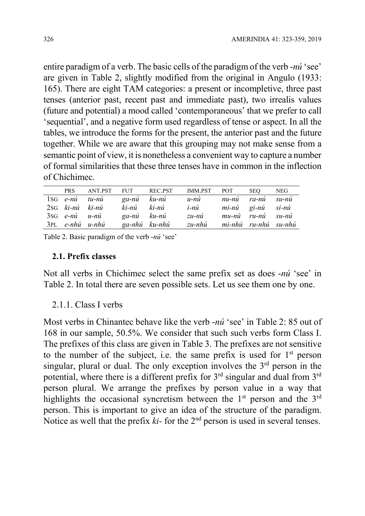entire paradigm of a verb. The basic cells of the paradigm of the verb -nú 'see' are given in Table 2, slightly modified from the original in Angulo (1933: 165). There are eight TAM categories: a present or incompletive, three past tenses (anterior past, recent past and immediate past), two irrealis values (future and potential) a mood called 'contemporaneous' that we prefer to call 'sequential', and a negative form used regardless of tense or aspect. In all the tables, we introduce the forms for the present, the anterior past and the future together. While we are aware that this grouping may not make sense from a semantic point of view, it is nonetheless a convenient way to capture a number of formal similarities that these three tenses have in common in the inflection of Chichimec.

| PRS               | ANT.PST | FUT         | REC.PST       | IMM.PST                     | <b>POT</b>        | SEO.              | NEG. |
|-------------------|---------|-------------|---------------|-----------------------------|-------------------|-------------------|------|
| $1SG$ e-nú tu-nú  |         | ga-nú ku-nú |               | u-nú                        | nu-nú ra-nú su-nú |                   |      |
| 2sG ki-nú ki-nú   |         | ki-nú ki-nú |               | i-nú                        |                   | mi-nú gi-nú si-nú |      |
| $3SG$ e-nú u-nú   |         | ga-nú ku-nú |               | $zu-n\acute{u}$             |                   | mu-nú ru-nú su-nú |      |
| $3PL$ e-nhú u-nhú |         |             | ga-nhú ku-nhú | zu-nhú mi-nhú ru-nhú su-nhú |                   |                   |      |

Table 2. Basic paradigm of the verb -nú 'see'

#### 2.1. Prefix classes

Not all verbs in Chichimec select the same prefix set as does -nú 'see' in Table 2. In total there are seven possible sets. Let us see them one by one.

2.1.1. Class I verbs

Most verbs in Chinantec behave like the verb -nú 'see' in Table 2: 85 out of 168 in our sample, 50.5%. We consider that such such verbs form Class I. The prefixes of this class are given in Table 3. The prefixes are not sensitive to the number of the subject, i.e. the same prefix is used for  $1<sup>st</sup>$  person singular, plural or dual. The only exception involves the  $3<sup>rd</sup>$  person in the potential, where there is a different prefix for  $3<sup>rd</sup>$  singular and dual from  $3<sup>rd</sup>$ person plural. We arrange the prefixes by person value in a way that highlights the occasional syncretism between the  $1<sup>st</sup>$  person and the  $3<sup>rd</sup>$ person. This is important to give an idea of the structure of the paradigm. Notice as well that the prefix  $ki$ - for the  $2<sup>nd</sup>$  person is used in several tenses.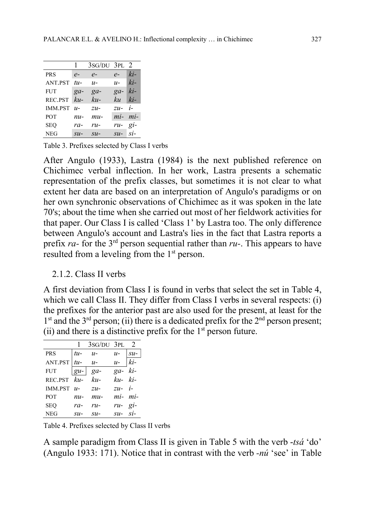|            |                             | $3sG/DU$ $3PL$ $2$          |                             |                 |
|------------|-----------------------------|-----------------------------|-----------------------------|-----------------|
| <b>PRS</b> | $e-$                        | $e-$                        | $e-$                        | $ki-$           |
| ANT.PST    | $tu-$                       | $u-$                        | $u-$                        | $ki-$           |
| <b>FUT</b> | $ga-$                       | $ga-$                       | $ga-$                       | $ki-$           |
| REC.PST    | $ku-$                       | $ku-$                       | kи                          | $ki-$           |
| IMM.PST    | $u-$                        | $zu-$                       | $zu-$                       | i-              |
| POT        | nu-                         | $mu-$                       | mi- mi-                     |                 |
| SEO        | ra-                         | $ru-$                       | ru-gi-                      |                 |
| <b>NEG</b> | $\mathcal{S} \mathcal{U}$ - | $\mathcal{S} \mathcal{U}$ - | $\mathcal{S} \mathcal{U}$ - | $\overline{SI}$ |

Table 3. Prefixes selected by Class I verbs

After Angulo (1933), Lastra (1984) is the next published reference on Chichimec verbal inflection. In her work, Lastra presents a schematic representation of the prefix classes, but sometimes it is not clear to what extent her data are based on an interpretation of Angulo's paradigms or on her own synchronic observations of Chichimec as it was spoken in the late 70's; about the time when she carried out most of her fieldwork activities for that paper. Our Class I is called 'Class 1' by Lastra too. The only difference between Angulo's account and Lastra's lies in the fact that Lastra reports a prefix ra- for the  $3<sup>rd</sup>$  person sequential rather than ru-. This appears to have resulted from a leveling from the 1<sup>st</sup> person.

#### 2.1.2. Class II verbs

A first deviation from Class I is found in verbs that select the set in Table 4, which we call Class II. They differ from Class I verbs in several respects: (i) the prefixes for the anterior past are also used for the present, at least for the  $1<sup>st</sup>$  and the 3<sup>rd</sup> person; (ii) there is a dedicated prefix for the  $2<sup>nd</sup>$  person present; (ii) and there is a distinctive prefix for the  $1<sup>st</sup>$  person future.

|               |                 | $1 \quad 3$ SG/DU $3$ PL $2$ |          |                 |
|---------------|-----------------|------------------------------|----------|-----------------|
| <b>PRS</b>    | $tu$ -          | $u-$                         | $u-$     | $\mathcal{S}u-$ |
| ANT.PST       | $tu$ -          | $u-$                         | $u-$     | ki-             |
| <b>FUT</b>    | $ gu-$          | $ga-$                        | ga-ki-   |                 |
| REC.PST ku-   |                 | $ku-$                        | ku- ki-  |                 |
| IMM.PST $u$ - |                 | $ZU-$                        | $zu i-$  |                 |
| <b>POT</b>    | nu-             | $mu$ -                       | mi-mi-   |                 |
| SEO           | ra-             | $ru-$                        | ru-gi-   |                 |
| NEG           | $\mathcal{S}u-$ | $\mathcal{S} \mathcal{U}$ -  | $su-si-$ |                 |

Table 4. Prefixes selected by Class II verbs

A sample paradigm from Class II is given in Table 5 with the verb -tsá 'do' (Angulo 1933: 171). Notice that in contrast with the verb -nú 'see' in Table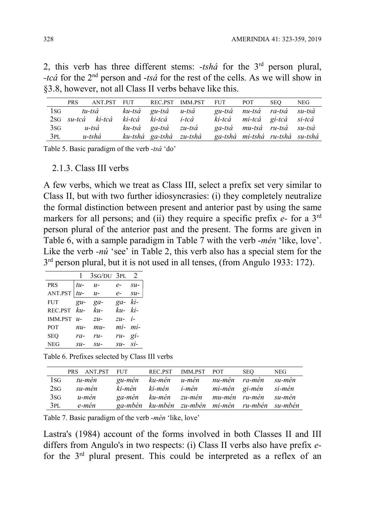2, this verb has three different stems:  $-tsh\acute{a}$  for the 3<sup>rd</sup> person plural, -tcá for the  $2<sup>nd</sup>$  person and -tsá for the rest of the cells. As we will show in §3.8, however, not all Class II verbs behave like this.

|        | PRS. | ANT.PST FUT       |                            | REC.PST IMM.PST FUT POT |                                 |                             | SEO. | <b>NEG</b> |
|--------|------|-------------------|----------------------------|-------------------------|---------------------------------|-----------------------------|------|------------|
| $\log$ |      |                   | tu-tsá ku-tsá gu-tsá u-tsá |                         |                                 | gu-tsá nu-tsá ra-tsá su-tsá |      |            |
|        |      | 2sG su-tcá ki-tcá | ki-tcá ki-tcá i-tcá        |                         |                                 | ki-tcá mi-tcá gi-tcá si-tcá |      |            |
| 3sG    |      | u-tsá             | ku-tsá ga-tsá zu-tsá       |                         |                                 | ga-tsá mu-tsá ru-tsá su-tsá |      |            |
| 3PL    |      | u-tshá            | ku-tshá ga-tshá zu-tshá    |                         | ga-tshá mi-tshá ru-tshá su-tshá |                             |      |            |

Table 5. Basic paradigm of the verb -tsá 'do'

2.1.3. Class III verbs

A few verbs, which we treat as Class III, select a prefix set very similar to Class II, but with two further idiosyncrasies: (i) they completely neutralize the formal distinction between present and anterior past by using the same markers for all persons; and (ii) they require a specific prefix  $e$ - for a 3<sup>rd</sup> person plural of the anterior past and the present. The forms are given in Table 6, with a sample paradigm in Table 7 with the verb -mén 'like, love'. Like the verb *-nú* 'see' in Table 2, this verb also has a special stem for the 3<sup>rd</sup> person plural, but it is not used in all tenses, (from Angulo 1933: 172).

|                |                   | $1 \quad 3$ SG/DU $3$ PL $2$ |          |                             |
|----------------|-------------------|------------------------------|----------|-----------------------------|
| PRS            | $tu-$             | $u$ -                        | $e-$     | $\mathcal{S} \mathcal{U}$ - |
| ANT.PST $ tu-$ |                   | $u$ -                        | $e-$     | $su-$                       |
| FUT            | $g_{\mathcal{U}}$ | $ga-$                        | $ga-ki-$ |                             |
| REC.PST ku-    |                   | $ku-$                        | $ku-ki-$ |                             |
| IMM.PST $u-$   |                   | $ZU-$                        | $zu-$ i- |                             |
| POT            | $nu-$             | $mu-$                        | mi-mi-   |                             |
| SEO            | $ra-$             | $r_{11}$                     | $ru-gi-$ |                             |
| NEG            | $su-$             | $\mathcal{S} \mathcal{U}$ -  | $su-Si-$ |                             |

Table 6. Prefixes selected by Class III verbs

|              | PRS ANT.PST FUT REC.PST IMM.PST POT |                                          |                                                |  | <b>SEO</b> | <b>NEG</b> |
|--------------|-------------------------------------|------------------------------------------|------------------------------------------------|--|------------|------------|
| $1_{\rm SG}$ | tu-mén                              | gu-mén ku-mén u-mén nu-mén ra-mén su-mén |                                                |  |            |            |
| 2SG          | su-mén                              | ki-mén                                   | ki-mén i-mén mi-mén gi-mén si-mén              |  |            |            |
| 3sG          | u-mén                               |                                          | ga-mén ku-mén zu-mén mu-mén ru-mén su-mén      |  |            |            |
| 3PL          | e-mén                               |                                          | ga-mbén ku-mbén zu-mbén mi-mén ru-mbén su-mbén |  |            |            |

Table 7. Basic paradigm of the verb -mén 'like, love'

Lastra's (1984) account of the forms involved in both Classes II and III differs from Angulo's in two respects: (i) Class II verbs also have prefix efor the 3rd plural present. This could be interpreted as a reflex of an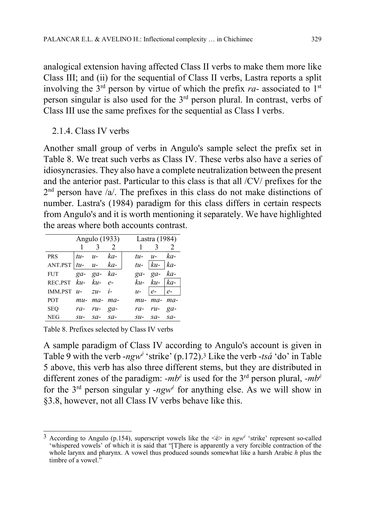analogical extension having affected Class II verbs to make them more like Class III; and (ii) for the sequential of Class II verbs, Lastra reports a split involving the  $3<sup>rd</sup>$  person by virtue of which the prefix ra- associated to  $1<sup>st</sup>$ person singular is also used for the 3rd person plural. In contrast, verbs of Class III use the same prefixes for the sequential as Class I verbs.

2.1.4. Class IV verbs

Another small group of verbs in Angulo's sample select the prefix set in Table 8. We treat such verbs as Class IV. These verbs also have a series of idiosyncrasies. They also have a complete neutralization between the present and the anterior past. Particular to this class is that all /CV/ prefixes for the  $2<sup>nd</sup>$  person have /a/. The prefixes in this class do not make distinctions of number. Lastra's (1984) paradigm for this class differs in certain respects from Angulo's and it is worth mentioning it separately. We have highlighted the areas where both accounts contrast.

|                            | Angulo (1933)        |  |  | Lastra (1984) |                     |  |  |
|----------------------------|----------------------|--|--|---------------|---------------------|--|--|
|                            | $1 \quad 3 \quad 2$  |  |  |               | $1 \quad 3 \quad 2$ |  |  |
| PRS                        | $ tu-u-ka-$          |  |  |               | $tu$ - $u$ - $ka$ - |  |  |
| ANT.PST $ tu-u-ka-$        |                      |  |  |               | $tu- ku- ka-$       |  |  |
| FUT $ga-ga-ka-$            |                      |  |  |               | ga- ga- ka-         |  |  |
| REC.PST ku- ku- e-         |                      |  |  |               | $ku-ku- ka-$        |  |  |
| IMM.PST $u$ - $zu$ - $i$ - |                      |  |  |               | $u -  e -  e -$     |  |  |
| <b>POT</b>                 | $mu$ - $ma$ - $ma$ - |  |  |               | mu- ma- ma-         |  |  |
| SEQ                        | ra- ru- ga-          |  |  |               | ra- ru- ga-         |  |  |
| NEG                        | $su-$ sa- sa-        |  |  |               | $su-$ sa- sa-       |  |  |

Table 8. Prefixes selected by Class IV verbs

A sample paradigm of Class IV according to Angulo's account is given in Table 9 with the verb -ngw<sup>é</sup> 'strike' (p.172).<sup>3</sup> Like the verb -tsá 'do' in Table 5 above, this verb has also three different stems, but they are distributed in different zones of the paradigm:  $-mb^{\dot{e}}$  is used for the 3<sup>rd</sup> person plural,  $-mb^{\dot{e}}$ for the  $3<sup>rd</sup>$  person singular y -ngw<sup>é</sup> for anything else. As we will show in §3.8, however, not all Class IV verbs behave like this.

 $\overline{a}$ <sup>3</sup> According to Angulo (p.154), superscript vowels like the  $\leq \epsilon$  in ngw<sup>é</sup> 'strike' represent so-called 'whispered vowels' of which it is said that "[T]here is apparently a very forcible contraction of the whole larynx and pharynx. A vowel thus produced sounds somewhat like a harsh Arabic h plus the timbre of a vowel."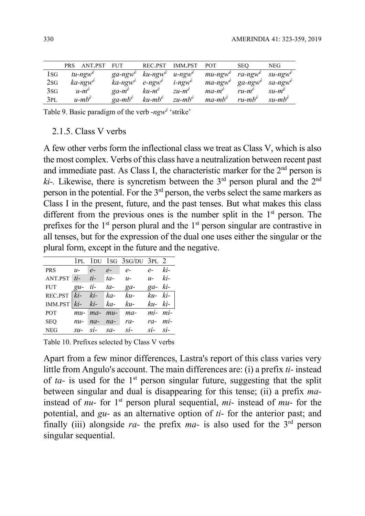|      | <b>PRS</b> | ANT.PST                | <b>FUT</b>             | REC.PST                | <b>IMM.PST</b>        | <b>POT</b>             | <b>SEO</b>             | NEG                    |
|------|------------|------------------------|------------------------|------------------------|-----------------------|------------------------|------------------------|------------------------|
| l SG |            | $tu$ -ngw <sup>e</sup> | $ga\text{-}ngw^e$      | $ku$ -ngw <sup>e</sup> | $u$ -ngw <sup>e</sup> | $mu$ -ngw <sup>e</sup> | ra-ngw <sup>e</sup>    | $su$ -ngw <sup>e</sup> |
| 2sG  |            | $ka$ -ngw <sup>e</sup> | $ka$ -ngw <sup>e</sup> | $e$ -ngw <sup>e</sup>  | $i$ -ngw <sup>e</sup> | $ma$ -ngw <sup>e</sup> | $ga$ -ngw <sup>e</sup> | $sa$ -ngw <sup>e</sup> |
| 3sG  |            | $u-m^e$                | $qa-m^e$               | $ku-m^e$               | $zu-m^e$              | $ma-m^e$               | $ru$ - $m^e$           | $su-m^e$               |
| 3PL  |            | $u$ -mb <sup>é</sup>   | $qa$ -m $b^e$          | $ku$ -m $b^e$          | $zu$ -m $b^e$         | $ma-mb^e$              | $ru$ -m $b^e$          | $su-mb^e$              |

Table 9. Basic paradigm of the verb - $ngw^{\phi}$  'strike'

#### 2.1.5. Class V verbs

A few other verbs form the inflectional class we treat as Class V, which is also the most complex. Verbs of this class have a neutralization between recent past and immediate past. As Class I, the characteristic marker for the  $2<sup>nd</sup>$  person is  $ki$ -. Likewise, there is syncretism between the 3<sup>rd</sup> person plural and the 2<sup>nd</sup> person in the potential. For the  $3<sup>rd</sup>$  person, the verbs select the same markers as Class I in the present, future, and the past tenses. But what makes this class different from the previous ones is the number split in the  $1<sup>st</sup>$  person. The prefixes for the  $1<sup>st</sup>$  person plural and the  $1<sup>st</sup>$  person singular are contrastive in all tenses, but for the expression of the dual one uses either the singular or the plural form, except in the future and the negative.

|                                    |             |          | 1PL 1DU 1SG 3SG/DU 3PL 2    |               |  |
|------------------------------------|-------------|----------|-----------------------------|---------------|--|
| $PRS$ $u$ - $e$ -                  |             | $e  e -$ |                             | $e-ki-$       |  |
| ANT.PST $ti$ - $ti$ - $ta$ - $u$ - |             |          |                             | $u-ki-$       |  |
| FUT $gu- ti- ta- ga-$              |             |          |                             | $ga-ki-$      |  |
| REC.PST $\overline{ki}$ - $ki$ -   |             | ka-      | $ku-$                       | $ku-ki-$      |  |
| IMM.PST $\vert ki-ki-ka-ku-$       |             |          |                             | $ku-ki-$      |  |
| <b>POT</b>                         |             |          | $mu$ - $ma$ - $mu$ - $ma$ - | mi-mi-        |  |
| $SEQ$ $nu$ - $na$ - $na$ - $ra$ -  |             |          |                             | ra- mi-       |  |
| <b>NEG</b>                         | $su-Si-sa-$ |          | $si$ -                      | $si$ - $si$ - |  |

Table 10. Prefixes selected by Class V verbs

Apart from a few minor differences, Lastra's report of this class varies very little from Angulo's account. The main differences are: (i) a prefix ti- instead of ta- is used for the  $1<sup>st</sup>$  person singular future, suggesting that the split between singular and dual is disappearing for this tense; (ii) a prefix mainstead of *nu*- for 1<sup>st</sup> person plural sequential,  $mi$ - instead of  $mu$ - for the potential, and  $gu$ - as an alternative option of  $ti$ - for the anterior past; and finally (iii) alongside ra- the prefix ma- is also used for the  $3<sup>rd</sup>$  person singular sequential.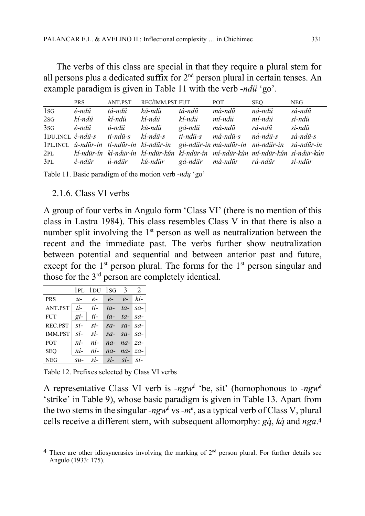The verbs of this class are special in that they require a plural stem for all persons plus a dedicated suffix for  $2<sup>nd</sup>$  person plural in certain tenses. An example paradigm is given in Table 11 with the verb -ndü 'go'.

|                                | <b>PRS</b> | ANT.PST  | REC/IMM.PST FUT |          | POT.                                                                                 | <b>SEO</b> | <b>NEG</b> |
|--------------------------------|------------|----------|-----------------|----------|--------------------------------------------------------------------------------------|------------|------------|
| $1_{SG}$                       | é-ndü      | tá-ndü   | ká-ndü          | tá-ndü   | má-ndü                                                                               | ná-ndü     | sá-ndü     |
| 2sG                            | kí-ndü     | kí-ndü   | kí-ndü          | kí-ndü   | mí-ndü                                                                               | mí-ndü     | sí-ndü     |
| 3sG                            | é-ndü      | ú-ndü    | kú-ndü          | gá-ndü   | má-ndü                                                                               | rá-ndü     | sí-ndü     |
| $1$ DU.INCL $\acute{e}$ -ndü-s |            | ti-ndü-s | kí-ndü-s        | ti-ndü-s | má-ndü-s                                                                             | ná-ndü-s   | sá-ndü-s   |
|                                |            |          |                 |          | 1PL.INCL ú-ndür-ín ti-ndür-ín kí-ndür-ín gú-ndür-ín mú-ndür-ín nú-ndür-ín sú-ndür-ín |            |            |
|                                |            |          |                 |          | 2PL kí-ndür-ín kí-ndür-ín kí-ndür-kún kí-ndür-ín mí-ndür-kún mí-ndür-kún sí-ndür-kún |            |            |
| 3PL                            |            |          |                 |          | é-ndür ú-ndür kú-ndür gá-ndür má-ndür rá-ndür sí-ndür                                |            |            |

Table 11. Basic paradigm of the motion verb -ndu 'go'

#### 2.1.6. Class VI verbs

A group of four verbs in Angulo form 'Class VI' (there is no mention of this class in Lastra 1984). This class resembles Class V in that there is also a number split involving the  $1<sup>st</sup>$  person as well as neutralization between the recent and the immediate past. The verbs further show neutralization between potential and sequential and between anterior past and future, except for the 1<sup>st</sup> person plural. The forms for the 1<sup>st</sup> person singular and those for the  $3<sup>rd</sup>$  person are completely identical.

|                |                   | $1PL$ $1DU$ $1SG$ $3$ |                 |                   | 2               |
|----------------|-------------------|-----------------------|-----------------|-------------------|-----------------|
| <b>PRS</b>     | $u-$              | $e-$                  | $e-$            | $e-$              | ki-             |
| ANT.PST        | ti-               | ti-                   | $ta-$           | $ta-$             | $sa-$           |
| <b>FUT</b>     | $q_i$ -           | $ti-$                 | $ta-$           | $ta-$             | $sa-$           |
| REC.PST        | $Si-$             | $\overline{si}$ -     | $sa-$           | $sa-$             | $sa-$           |
| <b>IMM.PST</b> | $\overline{si}$ - | $\overline{SI}$       |                 | $sa-sa-sa-$       |                 |
| <b>POT</b>     | ni-               | $ni-$                 | $na-$           | $na-$             | $za-$           |
| <b>SEO</b>     | $ni-$             | $ni-$                 |                 | $na$ - $na$ -     | $za-$           |
| NEG            | $\mathcal{S}U$ -  | $\overline{SI}$       | $\overline{SI}$ | $\overline{SI}$ – | $\overline{SI}$ |

Table 12. Prefixes selected by Class VI verbs

A representative Class VI verb is -ngw<sup>é 'b</sup>e, sit' (homophonous to -ngw<sup>é</sup> 'strike' in Table 9), whose basic paradigm is given in Table 13. Apart from the two stems in the singular -ngw<sup>é</sup> vs -m<sup>e</sup>, as a typical verb of Class V, plural cells receive a different stem, with subsequent allomorphy:  $g\dot{q}$ ,  $k\dot{q}$  and  $nga$ .<sup>4</sup>

 $\overline{a}$ <sup>4</sup> There are other idiosyncrasies involving the marking of  $2<sup>nd</sup>$  person plural. For further details see Angulo (1933: 175).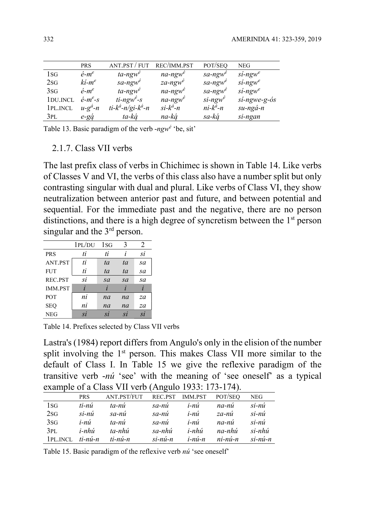|                       | <b>PRS</b>             | ANT.PST / FUT             | REC/IMM.PST            | POT/SEQ                | <b>NEG</b>               |
|-----------------------|------------------------|---------------------------|------------------------|------------------------|--------------------------|
| 1sg                   | $\acute{e}$ - $m^e$    | $ta$ -ngw <sup>e</sup>    | $na$ -ngw <sup>e</sup> | $sa$ -ngw <sup>e</sup> | $si$ -ngw <sup>e</sup>   |
| 2sG                   | $ki-m^e$               | $sa$ -ngw <sup>é</sup>    | $za$ -ngw <sup>é</sup> | $sa$ -ngw <sup>é</sup> | $si$ -ngw <sup>e</sup>   |
| 3SG                   | $\acute{e}$ - $m^e$    | $ta$ -ngw <sup>é</sup>    | $na$ -ngw <sup>e</sup> | $sa$ -ngw <sup>e</sup> | $si$ -ngw <sup>e</sup>   |
| 1 <sub>DU.</sub> INCL | $\acute{e}$ - $m^e$ -s | $ti$ -ngw <sup>é</sup> -s | $na$ -ngw <sup>é</sup> | $si$ -ngw <sup>é</sup> | $si$ -ngwe-g- $\delta s$ |
| 1PL.INCL              | $u-g^d-n$              | ti- $k^4$ -n/gi- $k^4$ -n | $si - k^{\dot{a}} - n$ | $ni-k^{\dot{a}}-n$     | $su$ -ngá-n              |
| 3pl                   | $e-gq$                 | ta-ká                     | na-ká                  | sa-ká                  | si-ngan                  |

Table 13. Basic paradigm of the verb -ngw<sup>é</sup> 'be, sit'

2.1.7. Class VII verbs

The last prefix class of verbs in Chichimec is shown in Table 14. Like verbs of Classes V and VI, the verbs of this class also have a number split but only contrasting singular with dual and plural. Like verbs of Class VI, they show neutralization between anterior past and future, and between potential and sequential. For the immediate past and the negative, there are no person distinctions, and there is a high degree of syncretism between the 1<sup>st</sup> person singular and the  $3<sup>rd</sup>$  person.

|                | 1PL/DU                  | $1_{SG}$ | 3  | 2  |
|----------------|-------------------------|----------|----|----|
| <b>PRS</b>     | ti                      | ti       | l  | si |
| ANT.PST        | ti                      | ta       | ta | sa |
| <b>FUT</b>     | ti                      | ta       | ta | sa |
| REC.PST        | si                      | sa       | sa | sa |
| <b>IMM.PST</b> | $\overline{\mathbf{I}}$ |          |    |    |
| POT            | ni                      | na       | na | za |
| <b>SEO</b>     | ni                      | na       | na | za |
| <b>NEG</b>     | $\overline{si}$         | si       | Sİ | si |

Table 14. Prefixes selected by Class VII verbs

Lastra's (1984) report differs from Angulo's only in the elision of the number split involving the  $1<sup>st</sup>$  person. This makes Class VII more similar to the default of Class I. In Table 15 we give the reflexive paradigm of the transitive verb -nú 'see' with the meaning of 'see oneself' as a typical example of a Class VII verb (Angulo 1933: 173-174).

|            | <b>PRS</b> | ANT.PST/FUT | REC.PST    | <b>IMM.PST</b> | POT/SEO   | NEG        |
|------------|------------|-------------|------------|----------------|-----------|------------|
| 1sg        | ti-nú      | ta-nú       | sa-nú      | i-nú           | na-nú     | $si$ -nú   |
| 2SG        | $si$ -nú   | sa-nú       | sa-nú      | i-nú           | za-nú     | $si$ -nú   |
| 3sG        | i-nú       | ta-nú       | sa-nú      | i-nú           | na-nú     | $si$ -nú   |
| 3PL        | i-nhú      | ta-nhú      | sa-nhú     | i-nhú          | na-nhú    | si-nhú     |
| 1 PL. INCL | $ti$ -nú-n | ti-nú-n     | $si$ -nú-n | $i$ -nú-n      | $ni-ni-n$ | $si$ -nú-n |

Table 15. Basic paradigm of the reflexive verb *nú* 'see oneself'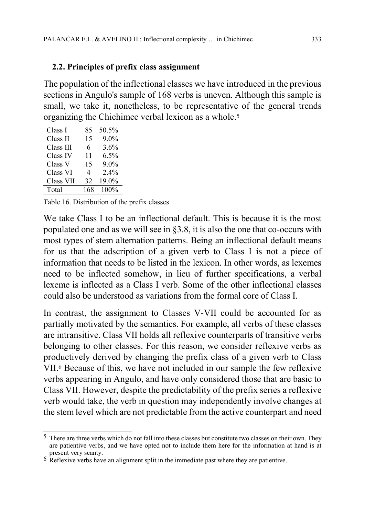## 2.2. Principles of prefix class assignment

The population of the inflectional classes we have introduced in the previous sections in Angulo's sample of 168 verbs is uneven. Although this sample is small, we take it, nonetheless, to be representative of the general trends organizing the Chichimec verbal lexicon as a whole.<sup>5</sup>

| Class I   | 85  | 50.5%   |
|-----------|-----|---------|
| Class II  | 15  | 9.0%    |
| Class III | 6   | 3.6%    |
| Class IV  | 11  | 6.5%    |
| Class V   | 15  | $9.0\%$ |
| Class VI  | 4   | 2.4%    |
| Class VII | 32  | 19.0%   |
| Total     | 168 | 100%    |
|           |     |         |

Table 16. Distribution of the prefix classes

We take Class I to be an inflectional default. This is because it is the most populated one and as we will see in §3.8, it is also the one that co-occurs with most types of stem alternation patterns. Being an inflectional default means for us that the adscription of a given verb to Class I is not a piece of information that needs to be listed in the lexicon. In other words, as lexemes need to be inflected somehow, in lieu of further specifications, a verbal lexeme is inflected as a Class I verb. Some of the other inflectional classes could also be understood as variations from the formal core of Class I.

In contrast, the assignment to Classes V-VII could be accounted for as partially motivated by the semantics. For example, all verbs of these classes are intransitive. Class VII holds all reflexive counterparts of transitive verbs belonging to other classes. For this reason, we consider reflexive verbs as productively derived by changing the prefix class of a given verb to Class VII.6 Because of this, we have not included in our sample the few reflexive verbs appearing in Angulo, and have only considered those that are basic to Class VII. However, despite the predictability of the prefix series a reflexive verb would take, the verb in question may independently involve changes at the stem level which are not predictable from the active counterpart and need

<sup>-</sup>5 There are three verbs which do not fall into these classes but constitute two classes on their own. They are patientive verbs, and we have opted not to include them here for the information at hand is at present very scanty.

 $6 \text{ }^{\text{}}$  Reflexive verbs have an alignment split in the immediate past where they are patientive.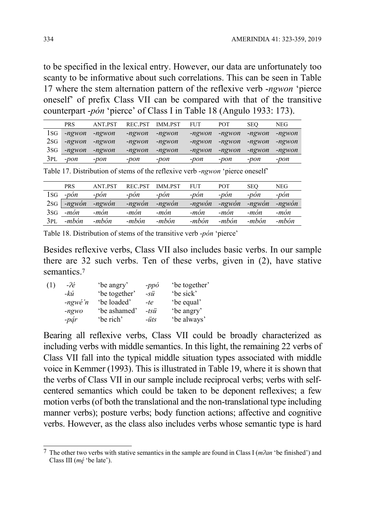to be specified in the lexical entry. However, our data are unfortunately too scanty to be informative about such correlations. This can be seen in Table 17 where the stem alternation pattern of the reflexive verb -ngwon 'pierce oneself' of prefix Class VII can be compared with that of the transitive counterpart -pón 'pierce' of Class I in Table 18 (Angulo 1933: 173).

|      | <b>PRS</b>   | <b>ANT PST</b>   | REC.PST | <b>IMM.PST</b> | <b>FUT</b> | <b>POT</b> | <b>SEO</b> | NEG    |
|------|--------------|------------------|---------|----------------|------------|------------|------------|--------|
| ISG. | -ngwon       | -ngwon           | -ngwon  | -ngwon         | -ngwon     | -ngwon     | -ngwon     | -ngwon |
|      | $2SG$ -ngwon | $-ng$ <i>won</i> | -ngwon  | -ngwon         | -ngwon     | -ngwon     | -ngwon     | -ngwon |
|      | $3SG$ -ngwon | -ngwon           | -ngwon  | -ngwon         | -ngwon     | -ngwon     | -ngwon     | -ngwon |
| 3PL  | -pon         | -pon             | -pon    | -pon           | -pon       | -pon       | -pon       | -pon   |

Table 17. Distribution of stems of the reflexive verb -ngwon 'pierce oneself'

|      | <b>PRS</b>     | <b>ANT PST</b> | <b>REC.PST</b> | <b>IMM.PST</b> | <b>FUT</b> | <b>POT</b> | <b>SEO</b>     | NEG    |
|------|----------------|----------------|----------------|----------------|------------|------------|----------------|--------|
| l SG | -pón           | $-pon$         | $-pon$         | $-pon$         | $-pon$     | $-pon$     | $-pon$         | -pon   |
| 2sG  | $-ngwón$       | -ngwón         | $-ngwón$       | -ngwón         | -ngwón     | -ngwón     | -ngwón         | -ngwón |
| 3sG  | $-m\acute{o}n$ | -món           | $-m\acute{o}n$ | $-m\dot{o}n$   | -món       | -món       | $-m\acute{o}n$ | -món   |
| 3PL  | -mbón          | -mbón          | -mbón          | -mbón          | -mbón      | -mbón      | -mbón          | -mbón  |

Table 18. Distribution of stems of the transitive verb -pón 'pierce'

Besides reflexive verbs, Class VII also includes basic verbs. In our sample there are 32 such verbs. Ten of these verbs, given in (2), have stative semantics.<sup>7</sup>

| $-2e$             | 'be angry'    | $-pp\acute{o}$ | 'be together' |
|-------------------|---------------|----------------|---------------|
| -kú               | 'be together' | $-s\ddot{u}$   | 'be sick'     |
| $-ngw \acute{e}n$ | 'be loaded'   | -te            | 'be equal'    |
| $-ngwo$           | 'be ashamed'  | $-tsii$        | 'be angry'    |
| $-p\acute{a}r$    | 'be rich'     | $-iits$        | 'be always'   |
|                   |               |                |               |

Bearing all reflexive verbs, Class VII could be broadly characterized as including verbs with middle semantics. In this light, the remaining 22 verbs of Class VII fall into the typical middle situation types associated with middle voice in Kemmer (1993). This is illustrated in Table 19, where it is shown that the verbs of Class VII in our sample include reciprocal verbs; verbs with selfcentered semantics which could be taken to be deponent reflexives; a few motion verbs (of both the translational and the non-translational type including manner verbs); posture verbs; body function actions; affective and cognitive verbs. However, as the class also includes verbs whose semantic type is hard

-

<sup>&</sup>lt;sup>7</sup> The other two verbs with stative semantics in the sample are found in Class I (*m* $2an$  'be finished') and Class III  $(mé 'be late').$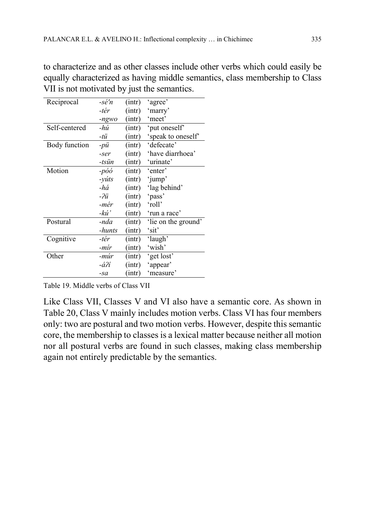to characterize and as other classes include other verbs which could easily be equally characterized as having middle semantics, class membership to Class VII is not motivated by just the semantics.

| Reciprocal    | -sé'n   | (int) | 'agree'             |
|---------------|---------|-------|---------------------|
|               | -tér    | (int) | 'marry'             |
|               | $-ngwo$ | (int) | 'meet'              |
| Self-centered | -hú     | (int) | 'put oneself'       |
|               | -tü     | (int) | 'speak to oneself'  |
| Body function | $-pii$  | (int) | 'defecate'          |
|               | -ser    | (int) | 'have diarrhoea'    |
|               | -tsün   | (int) | 'urinate'           |
| Motion        | -póó    | (int) | 'enter'             |
|               | $-yúts$ | (int) | 'jump'              |
|               | -há     | (int) | 'lag behind'        |
|               | $-2ii$  | (int) | 'pass'              |
|               | -mér    | (int) | 'roll'              |
|               | -kú'    | (int) | 'run a race'        |
| Postural      | -nda    | (int) | 'lie on the ground' |
|               | -hunts  | (int) | 'sit'               |
| Cognitive     | -tér    | (int) | 'laugh'             |
|               | -mír    | (int) | 'wish'              |
| Other         | -múr    | (int) | 'get lost'          |
|               | -áʔí    | (int) | 'appear'            |
|               | $-sa$   | (int) | 'measure'           |

Table 19. Middle verbs of Class VII

Like Class VII, Classes V and VI also have a semantic core. As shown in Table 20, Class V mainly includes motion verbs. Class VI has four members only: two are postural and two motion verbs. However, despite this semantic core, the membership to classes is a lexical matter because neither all motion nor all postural verbs are found in such classes, making class membership again not entirely predictable by the semantics.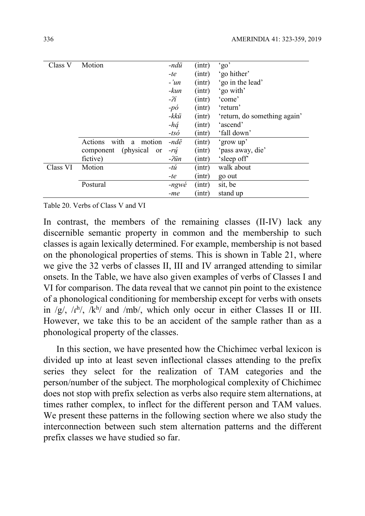| Class V  | Motion                      | -ndü            | (int) | 'go'                         |
|----------|-----------------------------|-----------------|-------|------------------------------|
|          |                             | -te             | (int) | 'go hither'                  |
|          |                             | $-iun$          | (int) | 'go in the lead'             |
|          |                             | $-kun$          | (int) | 'go with'                    |
|          |                             | $-2i$           | (int) | 'come'                       |
|          |                             | $-p\acute{o}$   | (int) | 'return'                     |
|          |                             | -kkü            | (int) | 'return, do something again' |
|          |                             | -há             | (int) | 'ascend'                     |
|          |                             | $-ts\acute{o}$  | (int) | 'fall down'                  |
|          | with a<br>Actions<br>motion | -ndë            | (int) | 'grow up'                    |
|          | component (physical<br>or   | -rú             | (int) | 'pass away, die'             |
|          | fictive)                    | $-2i$ in        | (int) | 'sleep off'                  |
| Class VI | Motion                      | $-t\acute{u}$   | (int) | walk about                   |
|          |                             | -te             | (int) | go out                       |
|          | Postural                    | $-ngw\acute{e}$ | (int) | sit, be                      |
|          |                             | -me             | (int) | stand up                     |

Table 20. Verbs of Class V and VI

In contrast, the members of the remaining classes (II-IV) lack any discernible semantic property in common and the membership to such classes is again lexically determined. For example, membership is not based on the phonological properties of stems. This is shown in Table 21, where we give the 32 verbs of classes II, III and IV arranged attending to similar onsets. In the Table, we have also given examples of verbs of Classes I and VI for comparison. The data reveal that we cannot pin point to the existence of a phonological conditioning for membership except for verbs with onsets in /g/,  $\sqrt{n}$ <sup>h</sup>/,  $\sqrt{k}$ <sup>h</sup>/ and /mb/, which only occur in either Classes II or III. However, we take this to be an accident of the sample rather than as a phonological property of the classes.

In this section, we have presented how the Chichimec verbal lexicon is divided up into at least seven inflectional classes attending to the prefix series they select for the realization of TAM categories and the person/number of the subject. The morphological complexity of Chichimec does not stop with prefix selection as verbs also require stem alternations, at times rather complex, to inflect for the different person and TAM values. We present these patterns in the following section where we also study the interconnection between such stem alternation patterns and the different prefix classes we have studied so far.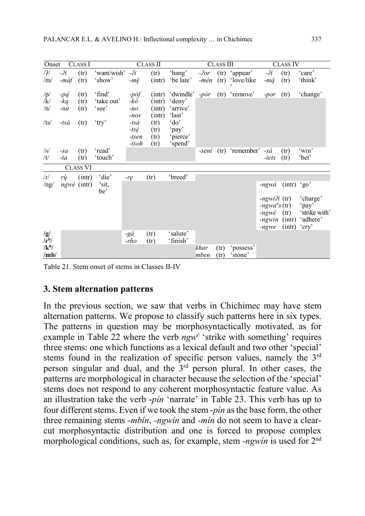| Onset                                                      |                           | <b>CLASS I</b>               |                                        |                                                                                        | <b>CLASS II</b>                                                  |                                                                                   |                | <b>CLASS III</b> |                        |                                                                                                | <b>CLASS IV</b>                         |                                                         |
|------------------------------------------------------------|---------------------------|------------------------------|----------------------------------------|----------------------------------------------------------------------------------------|------------------------------------------------------------------|-----------------------------------------------------------------------------------|----------------|------------------|------------------------|------------------------------------------------------------------------------------------------|-----------------------------------------|---------------------------------------------------------|
| /2/<br>/m/                                                 | $-2i$<br>$-m\acute{a}f$   | (tr)<br>(tr)                 | 'want/wish'<br>'show'                  | $-2i$<br>$-m\acute{e}$                                                                 | (tr)<br>(int)                                                    | 'hang'<br>'be late'                                                               | $-2or$<br>-mén | (tr)<br>(tr)     | 'appear'<br>'love/like | $-2i$<br>$-m\acute{a}$                                                                         | (tr)<br>(tr)                            | 'care'<br>'think'                                       |
| $\sqrt{p}$<br>/k/<br>/n/<br>/ts/                           | -pą<br>-ką<br>-nú<br>-tsá | (tr)<br>(tr)<br>(tr)<br>(tr) | 'find'<br>'take out'<br>'see'<br>'try' | $-p\acute{o}f$<br>-kó<br>$-no$<br>$-nov$<br>-tsá<br>$-ts\acute{e}$<br>-tsen<br>$-tsoh$ | (int)<br>(int)<br>(int)<br>(int)<br>(tr)<br>(tr)<br>(tr)<br>(tr) | 'dwindle'<br>'deny'<br>'arrive'<br>'last'<br>'do'<br>'pay'<br>'pierce'<br>'spend' | $-p$ ór        |                  | $(tr)$ 'remove'        | -por                                                                                           | (tr)                                    | 'change'                                                |
| $\sqrt{s}$<br>/t/                                          | $-sa$<br>$-ta$            | (tr)<br>(tr)                 | 'read'<br>'touch'                      |                                                                                        |                                                                  |                                                                                   | -sení          |                  | (tr) 'remember'        | -sá<br>-tets                                                                                   | (tr)<br>(tr)                            | 'win'<br>'bet'                                          |
|                                                            |                           | <b>CLASS VI</b>              |                                        |                                                                                        |                                                                  |                                                                                   |                |                  |                        |                                                                                                |                                         |                                                         |
| $\ln$<br>$\frac{1}{ng}$                                    | rú                        | (int)<br>$ngwé$ (intr)       | 'die'<br>'sit,<br>be'                  | $-re$                                                                                  | (tr)                                                             | 'breed'                                                                           |                |                  |                        | -ngwá<br>$-ngwi\ell i$ (tr)<br>$-ngwa^{\dot{a}}s$ (tr)<br>$-ngw\acute{e}$<br>-ngwin<br>$-nqwe$ | $(intr)$ 'go'<br>(tr)<br>(int)<br>(int) | 'charge'<br>'pay'<br>'strike with'<br>'adhere'<br>'cry' |
| /g/<br>$\overline{f}$ <sup>h</sup> /<br>$/k^{h}$ /<br>/mb/ |                           |                              |                                        | -gá<br>$-rho$                                                                          | (tr)<br>(tr)                                                     | 'salute'<br>'finish'                                                              | khar<br>mben   | (tr)<br>(tr)     | 'possess'<br>'stone'   |                                                                                                |                                         |                                                         |

Table 21. Stem onset of stems in Classes II-IV

# 3. Stem alternation patterns

In the previous section, we saw that verbs in Chichimec may have stem alternation patterns. We propose to classify such patterns here in six types. The patterns in question may be morphosyntactically motivated, as for example in Table 22 where the verb  $ngw^{\phi}$  'strike with something' requires three stems: one which functions as a lexical default and two other 'special' stems found in the realization of specific person values, namely the 3<sup>rd</sup> person singular and dual, and the  $3<sup>rd</sup>$  person plural. In other cases, the patterns are morphological in character because the selection of the 'special' stems does not respond to any coherent morphosyntactic feature value. As an illustration take the verb -pín 'narrate' in Table 23. This verb has up to four different stems. Even if we took the stem -pín as the base form, the other three remaining stems -mbin, -ngwin and -min do not seem to have a clearcut morphosyntactic distribution and one is forced to propose complex morphological conditions, such as, for example, stem -ngwin is used for  $2<sup>nd</sup>$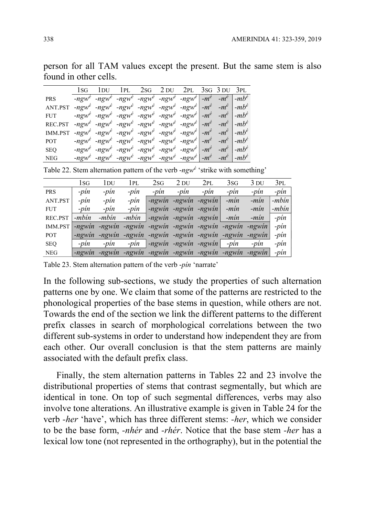person for all TAM values except the present. But the same stem is also found in other cells.

|                | l SG- | 1 DU 1 PL 2sg 2 DU 2 PL 3sg 3 DU 3 PL                                                                                                                                                                                                                                                   |  |  |  |  |
|----------------|-------|-----------------------------------------------------------------------------------------------------------------------------------------------------------------------------------------------------------------------------------------------------------------------------------------|--|--|--|--|
| <b>PRS</b>     |       | $-ngw^e$ -ngw <sup>e</sup> -ngw <sup>e</sup> -ngw <sup>e</sup> -ngw <sup>e</sup> -ngw <sup>e</sup> -ngw <sup>e</sup> -m <sup>é</sup> -m <sup>é</sup> -mb <sup>é</sup>                                                                                                                   |  |  |  |  |
| ANT.PST        |       | $-ngw^{\dot{e}}$ -ngw <sup><math>\dot{e}</math></sup> -ngw <sup><math>\dot{e}</math></sup> -ngw $\dot{e}$ -ngw $\dot{e}$ -ngw $\dot{e}$ -m $\dot{e}$ -m $\dot{e}$ -m $\dot{e}$ -mb $\dot{e}$                                                                                            |  |  |  |  |
| <b>FUT</b>     |       | $-ngw^{\dot{e}}$ -ngw <sup><math>\dot{e}</math></sup> -ngw <sup><math>\dot{e}</math></sup> -ngw $\dot{e}$ -ngw $\dot{e}$ -ngw $\dot{e}$ -m $\dot{e}$ -m $\dot{e}$ -m $\dot{e}$ -mb $\dot{e}$                                                                                            |  |  |  |  |
| REC.PST        |       | $-ngw^e$ -ngw <sup>e</sup> -ngw <sup>e</sup> -ngw <sup>e</sup> -ngw <sup>e</sup> -ngw <sup>e</sup> -ngw <sup>e</sup> -m <sup>e</sup> -m <sup>e</sup> -mb <sup>e</sup>                                                                                                                   |  |  |  |  |
| <b>IMM.PST</b> |       | $-ngw^{\dot{e}}$ -ngw <sup><math>\dot{e}</math></sup> -ngw <sup><math>\dot{e}</math></sup> -ngw <sup><math>\dot{e}</math></sup> -ngw <sup><math>\dot{e}</math></sup> -m $\dot{e}$ <sup>'</sup> -m $\dot{e}$ <sup>'</sup> -m $\dot{b}$ <sup><math>\dot{e}</math></sup>                   |  |  |  |  |
| POT            |       | $-ngw^{\dot{e}}$ -ngw <sup><math>\dot{e}</math></sup> -ngw <sup><math>\dot{e}</math></sup> -ngw $\dot{e}$ -ngw $\dot{e}$ -ngw $\dot{e}$ -m $\dot{e}$ -m $\dot{e}$ -m $\dot{e}$ -mb $\dot{e}$                                                                                            |  |  |  |  |
| <b>SEQ</b>     |       | $-ngw^{\dot{e}}$ -ngw <sup><math>\dot{e}</math></sup> -ngw <sup><math>\dot{e}</math></sup> -ngw <sup><math>\dot{e}</math></sup> -ngw <sup><math>\dot{e}</math></sup> -m <sup><math>\dot{e}</math></sup> -m <sup><math>\dot{e}</math></sup> -m $\dot{b}$ <sup><math>\dot{e}</math></sup> |  |  |  |  |
| <b>NEG</b>     |       | $-\eta g w^{\dot{e}}$ $-\eta g w^{\dot{e}}$ $-\eta g w^{\dot{e}}$ $-\eta g w^{\dot{e}}$ $-\eta g w^{\dot{e}}$ $-\eta g w^{\dot{e}}$ $-\eta^{\dot{e}}$ $-\eta^{\dot{e}}$ $-\eta b^{\dot{e}}$                                                                                             |  |  |  |  |

Table 22. Stem alternation pattern of the verb - $ngw^{\phi}$  'strike with something'

|            | 1 SG     | 1 DU     | 1PL     | 2sG                                              | 2 DU   | 2PL                                  | 3s <sub>G</sub> | 3 DU     | 3pl     |
|------------|----------|----------|---------|--------------------------------------------------|--------|--------------------------------------|-----------------|----------|---------|
| <b>PRS</b> | $-pin$   | $-pin$   | $-pin$  | $-pin$                                           | $-pin$ | $-pin$                               | $-pin$          | $-pin$   | $-pin$  |
| ANT.PST    | $-pin$   | $-pin$   | $-pin$  | $-ngwin$                                         |        | -ngwin -ngwin                        | $-min$          | $-min$   | $-mbin$ |
| <b>FUT</b> | $-pin$   | $-pin$   | $-pin$  |                                                  |        | $-ngwin$ -ngwin -ngwin               | $-min$          | $-min$   | $-mbin$ |
| REC.PST    | $-mbin$  | -mbin    | $-mbin$ |                                                  |        | $-ngwin$ -ngwin -ngwin               | $-min$          | $-min$   | $-pin$  |
| IMM.PST    | $-newin$ | -ngwin   |         | -ngwin -ngwin -ngwin -ngwin -ngwin               |        |                                      |                 | $-ngwin$ | -pin    |
| POT        | $-ngwin$ |          |         | -ngwin -ngwin -ngwin -ngwin -ngwin -ngwin -ngwin |        |                                      |                 |          | -pin    |
| <b>SEQ</b> | $-pin$   | $-pin$   | $-pin$  |                                                  |        | $-ngwin -ngwin -ngwin$ -ngwin -ngwin |                 | $-pin$   | $-pin$  |
| <b>NEG</b> | $-ngwin$ | $-newin$ |         | -ngwin -ngwin -ngwin -ngwin -ngwin -ngwin        |        |                                      |                 |          | -pin    |

Table 23. Stem alternation pattern of the verb -pín 'narrate'

In the following sub-sections, we study the properties of such alternation patterns one by one. We claim that some of the patterns are restricted to the phonological properties of the base stems in question, while others are not. Towards the end of the section we link the different patterns to the different prefix classes in search of morphological correlations between the two different sub-systems in order to understand how independent they are from each other. Our overall conclusion is that the stem patterns are mainly associated with the default prefix class.

Finally, the stem alternation patterns in Tables 22 and 23 involve the distributional properties of stems that contrast segmentally, but which are identical in tone. On top of such segmental differences, verbs may also involve tone alterations. An illustrative example is given in Table 24 for the verb -her 'have', which has three different stems: -her, which we consider to be the base form, -nhér and -rhér. Notice that the base stem -her has a lexical low tone (not represented in the orthography), but in the potential the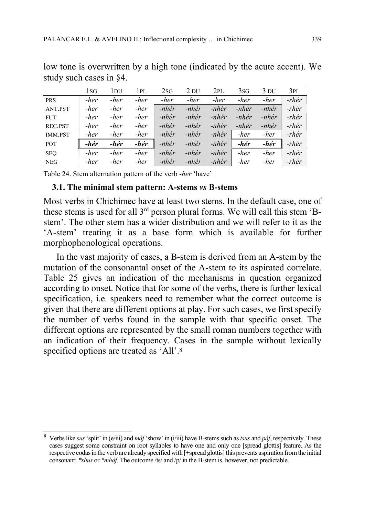|                | 1sg  | 1 DU | 1pl  | 2sG      | $2$ DU   | 2PL      | 3sG   | 3 DU     | 3PL      |
|----------------|------|------|------|----------|----------|----------|-------|----------|----------|
| <b>PRS</b>     | -her | -her | -her | -her     | -her     | -her     | -her  | -her     | $-rh$ ér |
| ANT.PST        | -her | -her | -her | $-hh$ ér | $-nh$ ér | $-nh$ ér | -nhér | $-hh$ ér | $-rh$ ér |
| <b>FUT</b>     | -her | -her | -her | $-hh$ ér | -nhér    | $-hh$ ér | -nhér | -nhér    | -rhér    |
| REC.PST        | -her | -her | -her | -nhér    | -nhér    | -nhér    | -nhér | -nhér    | -rhér    |
| <b>IMM.PST</b> | -her | -her | -her | -nhér    | -nhér    | $-hh$ ér | -her  | -her     | -rhér    |
| <b>POT</b>     | -hér | -hér | -hér | $-hh$ ér | $-hh$ ér | $-nh$ ér | -hér  | -hér     | -rhér    |
| <b>SEQ</b>     | -her | -her | -her | $-hh$ ér | $-hh$ ér | $-nh$ ér | -her  | -her     | -rhér    |
| <b>NEG</b>     | -her | -her | -her | -nhér    | -nhér    | -nhér    | -her  | -her     | -rhér    |

low tone is overwritten by a high tone (indicated by the acute accent). We study such cases in §4.

Table 24. Stem alternation pattern of the verb -her 'have'

## 3.1. The minimal stem pattern: A-stems vs B-stems

Most verbs in Chichimec have at least two stems. In the default case, one of these stems is used for all 3rd person plural forms. We will call this stem 'Bstem'. The other stem has a wider distribution and we will refer to it as the 'A-stem' treating it as a base form which is available for further morphophonological operations.

In the vast majority of cases, a B-stem is derived from an A-stem by the mutation of the consonantal onset of the A-stem to its aspirated correlate. Table 25 gives an indication of the mechanisms in question organized according to onset. Notice that for some of the verbs, there is further lexical specification, i.e. speakers need to remember what the correct outcome is given that there are different options at play. For such cases, we first specify the number of verbs found in the sample with that specific onset. The different options are represented by the small roman numbers together with an indication of their frequency. Cases in the sample without lexically specified options are treated as 'All'.<sup>8</sup>

 $\overline{a}$ <sup>8</sup> Verbs like sus 'split' in (e/iii) and *mát* 'show' in (i/iii) have B-stems such as *tsus* and *páf*, respectively. These cases suggest some constraint on root syllables to have one and only one [spread glottis] feature. As the respective codas in the verb are already specified with [+spread glottis] this prevents aspiration from the initial consonant: \*shus or \*mháf. The outcome /ts/ and /p/ in the B-stem is, however, not predictable.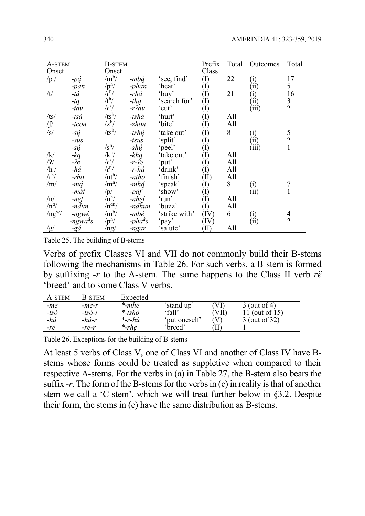| A-STEM        |                 | <b>B-STEM</b>               |                   |               | Prefix                     | Total | Outcomes | Total                                      |
|---------------|-----------------|-----------------------------|-------------------|---------------|----------------------------|-------|----------|--------------------------------------------|
| Onset         |                 | Onset                       |                   |               | Class                      |       |          |                                            |
| /p /          | $-p\acute{q}$   | $\rm /m^b/$                 | -mbá              | 'see, find'   | (I)                        | 22    | (i)      | 17                                         |
|               | -pan            | $/p^h/$                     | -phan             | 'heat'        | $\rm (I)$                  |       | (i)      | 5                                          |
| /t/           | -tá             | $\bar{r}$ <sup>h</sup> /    | -rhá              | 'buy'         | $\rm(I)$                   | 21    | $_{(1)}$ | 16                                         |
|               | $-tq$           | $/t^h/$                     | $-thq$            | 'search for'  | (I)                        |       | (ii)     | $\frac{3}{2}$                              |
|               | $-tav$          | $\Gamma'$                   | $-r\}av$          | 'cut'         | (I)                        |       | (iii)    |                                            |
| /ts/          | $-ts\acute{a}$  | $/ts^h/$                    | -tshá             | 'hurt'        | $\rm(I)$                   | All   |          |                                            |
| $\sqrt{\int}$ | $-ton$          | $\mathbf{z}^{\mathrm{h}}$ / | -zhon             | 'bite'        | $\rm (I)$                  | All   |          |                                            |
| /s/           | $-s\acute{u}$   | $/ts^h/$                    | -tshú             | 'take out'    | $\rm (I)$                  | 8     | (i)      |                                            |
|               | $-SUS$          |                             | -tsus             | 'split'       | $\rm(I)$                   |       | (ii)     | $\begin{array}{c} 5 \\ 2 \\ 1 \end{array}$ |
|               | $-s\acute{u}$   | $\sqrt{s}^h/$               | -shú              | 'peel'        | $\rm(I)$                   |       | (iii)    |                                            |
| /k/           | $-ka$           | $/k^h/$                     | $-khq$            | 'take out'    | $\left( \mathrm{I}\right)$ | All   |          |                                            |
| /2/           | $-2e$           | $\Gamma'$                   | $-r-2e$           | 'put'         | (I)                        | All   |          |                                            |
| /h/           | -há             | $\Lambda^{h}$               | -r-há             | 'drink'       | $\rm(I)$                   | All   |          |                                            |
| $\rm /r^h/$   | -rho            | $/nt^{h}/$                  | -ntho             | 'finish'      | (II)                       | All   |          |                                            |
| /m/           | -má             | /m <sup>h</sup> /           | -mhá              | 'speak'       | $\left( \mathrm{I}\right)$ | 8     | (i)      |                                            |
|               | -máf            | /p/                         | -páf              | 'show'        | $\rm(I)$                   |       | (i)      | $\mathbf{1}$                               |
| /n/           | $-nef$          | $\ln^{h}/$                  | $-nhef$           | 'run'         | $\rm(I)$                   | All   |          |                                            |
| $/n^d/$       | -ndun           | $/n^{dh}/$                  | -ndhun            | 'buzz'        | $\rm(I)$                   | All   |          |                                            |
| $/ng^w/$      | $-ngw\acute{e}$ | $/m^b/$                     | -mbé              | 'strike with' | (IV)                       | 6     | (i)      | $\overline{4}$                             |
|               | $-ngwaas$       | $/p^h/$                     | $-pha^{\dot{a}}s$ | 'pay'         | (IV)                       |       | (ii)     | $\overline{2}$                             |
| /g/           | -gá             | /ng/                        | -ngar             | 'salute'      | TD)                        | All   |          |                                            |

Table 25. The building of B-stems

Verbs of prefix Classes VI and VII do not commonly build their B-stems following the mechanisms in Table 26. For such verbs, a B-stem is formed by suffixing  $-r$  to the A-stem. The same happens to the Class II verb  $r\ddot{e}$ 'breed' and to some Class V verbs.

| A-STEM         | <b>B-STEM</b>    | Expected  |               |          |                |
|----------------|------------------|-----------|---------------|----------|----------------|
| $-me$          | -me-r            | $*$ -mhe  | 'stand up'    | VŊ       | $3$ (out of 4) |
| $-ts\acute{o}$ | $-ts$ <i>o-r</i> | $*$ -tshó | 'fall'        | VII      | 11 (out of 15) |
| $-h\nu$        | $-h\nu-r$        | $*$ -r-hú | 'put oneself' |          | 3 (out of 32)  |
| -re            | -re-r            | $*$ -rhe  | 'breed'       | $\bf{H}$ |                |

Table 26. Exceptions for the building of B-stems

At least 5 verbs of Class V, one of Class VI and another of Class IV have Bstems whose forms could be treated as suppletive when compared to their respective A-stems. For the verbs in (a) in Table 27, the B-stem also bears the suffix  $-r$ . The form of the B-stems for the verbs in (c) in reality is that of another stem we call a 'C-stem', which we will treat further below in §3.2. Despite their form, the stems in (c) have the same distribution as B-stems.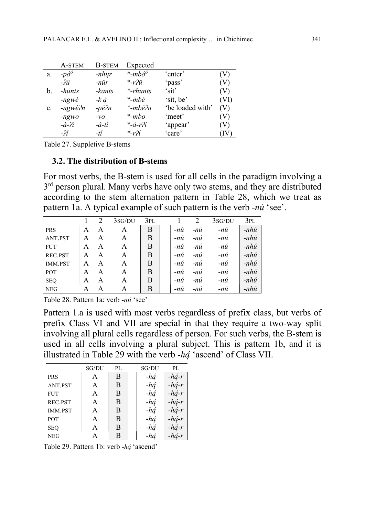|                | A-STEM                                          | <b>B-STEM</b>    | Expected                 |                  |      |
|----------------|-------------------------------------------------|------------------|--------------------------|------------------|------|
| a.             | $-p\acute{o}$ <sup><math>\acute{o}</math></sup> | $-nhyr$          | $\ast$ -mbó <sup>ó</sup> | 'enter'          | (V)  |
|                | -?ü                                             | $-nür$           | $\frac{k-r}{ii}$         | 'pass'           | (V)  |
| b.             | -hunts                                          | -kants           | <i>*-rhunts</i>          | 'sit'            | (V)  |
|                | $-ngw\acute{e}$                                 | $-k \notin$      | *-mbé                    | 'sit, be'        | (VI) |
| $\mathbf{c}$ . | -ngwé?n                                         | $-p \acute{e}2n$ | *-mbé?n                  | 'be loaded with' | (V)  |
|                | $-ngwo$                                         | $-vO$            | $*$ -mbo                 | 'meet'           | (V)  |
|                | $-$ á- $2i$                                     | $-\dot{a}$ -ti   | *- <i>á-r?í</i>          | 'appear'         | (V)  |
|                | $-2i$                                           | -tí              | $- r \eta'$              | 'care'           | (IV  |

Table 27. Suppletive B-stems

#### 3.2. The distribution of B-stems

For most verbs, the B-stem is used for all cells in the paradigm involving a 3<sup>rd</sup> person plural. Many verbs have only two stems, and they are distributed according to the stem alternation pattern in Table 28, which we treat as pattern 1a. A typical example of such pattern is the verb -nú 'see'.

|                |   | $\mathcal{D}_{\mathcal{L}}$ | 3sg/du | 3pl |       |       | 3sG/DU | 3PL            |
|----------------|---|-----------------------------|--------|-----|-------|-------|--------|----------------|
| <b>PRS</b>     | A | A                           | A      | В   | $-nu$ | $-nu$ | $-nu$  | $-nh\acute{u}$ |
| ANT.PST        | A | A                           | A      | В   | $-nu$ | $-nu$ | -nú    | $-nh\acute{u}$ |
| <b>FUT</b>     | A | А                           | A      | B   | $-nu$ | -nù   | -nú    | $-nh\acute{u}$ |
| REC.PST        | A | А                           | A      | B   | $-nu$ | -nù   | -nú    | $-hhi$         |
| <b>IMM.PST</b> | А | А                           | A      | B   | $-nu$ | $-nu$ | -nú    | $-nh\acute{u}$ |
| <b>POT</b>     | A | А                           | A      | B   | $-nu$ | -nù   | -nú    | $-nh\acute{u}$ |
| <b>SEQ</b>     | A | А                           | A      | B   | -nu   | -nù   | -nú    | $-nh\acute{u}$ |
| <b>NEG</b>     | А | А                           | А      | В   | $-nu$ | $-nu$ | $-nu$  | $-nh\acute{u}$ |

Table 28. Pattern 1a: verb -nú 'see'

Pattern 1.a is used with most verbs regardless of prefix class, but verbs of prefix Class VI and VII are special in that they require a two-way split involving all plural cells regardless of person. For such verbs, the B-stem is used in all cells involving a plural subject. This is pattern 1b, and it is illustrated in Table 29 with the verb -hą՛ 'ascend' of Class VII.

|                | SG/DU | PL | SG/DU | PL              |
|----------------|-------|----|-------|-----------------|
| <b>PRS</b>     | A     | B  | -há   | $-h\acute{q}-r$ |
| ANT.PST        | A     | B  | -há   | $-h$ á-r        |
| <b>FUT</b>     | A     | B  | -há   | $-hq-r$         |
| REC.PST        | A     | B  | -há   | $-hq-r$         |
| <b>IMM.PST</b> | A     | B  | $-hq$ | $-hq-r$         |
| POT            | A     | B  | $-hq$ | $-hq-r$         |
| <b>SEQ</b>     | A     | B  | -há   | $-hq-r$         |
| <b>NEG</b>     | А     | B  | -há   | $-h$ á-r        |

Table 29. Pattern 1b: verb -hą՛ 'ascend'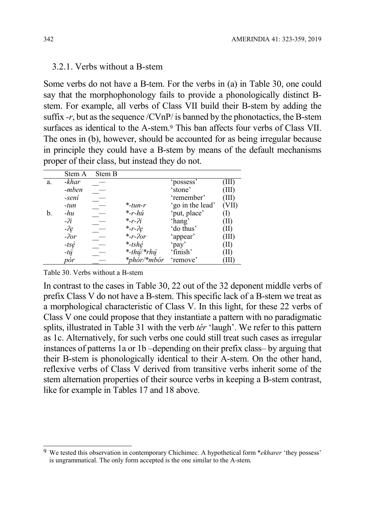#### 3.2.1. Verbs without a B-stem

Some verbs do not have a B-tem. For the verbs in (a) in Table 30, one could say that the morphophonology fails to provide a phonologically distinct Bstem. For example, all verbs of Class VII build their B-stem by adding the suffix  $-r$ , but as the sequence /CVnP/ is banned by the phonotactics, the B-stem surfaces as identical to the A-stem.9 This ban affects four verbs of Class VII. The ones in (b), however, should be accounted for as being irregular because in principle they could have a B-stem by means of the default mechanisms proper of their class, but instead they do not.

|    | Stem A         | Stem B |                    |                  |         |
|----|----------------|--------|--------------------|------------------|---------|
| a. | -khar          |        |                    | 'possess'        | Ш       |
|    | -mben          |        |                    | 'stone'          | III)    |
|    | -sení          |        |                    | 'remember'       | (III)   |
|    | -tun           |        | $*$ -tun-r         | 'go in the lead' | (VII)   |
| b. | $-hu$          |        | $*-r-hu$           | 'put, place'     | T)      |
|    | $-i$           |        | $*_{-r-2i}$        | 'hang'           | TI)     |
|    | $-2e$          |        | *- $r - 2e$        | 'do thus'        | $\prod$ |
|    | $-2\sigma r$   |        | $*$ -r- $20r$      | 'appear'         | TII)    |
|    | $-ts\acute{e}$ |        | $*$ -tshé          | 'pay'            | TI)     |
|    | $-t \acute{u}$ |        | *-thú/*rhú         | 'finish'         | TI)     |
|    | pór            |        | <i>*phór/*mbór</i> | 'remove'         | Ш       |

Table 30. Verbs without a B-stem

 $\overline{a}$ 

In contrast to the cases in Table 30, 22 out of the 32 deponent middle verbs of prefix Class V do not have a B-stem. This specific lack of a B-stem we treat as a morphological characteristic of Class V. In this light, for these 22 verbs of Class V one could propose that they instantiate a pattern with no paradigmatic splits, illustrated in Table 31 with the verb *tér* 'laugh'. We refer to this pattern as 1c. Alternatively, for such verbs one could still treat such cases as irregular instances of patterns 1a or 1b –depending on their prefix class– by arguing that their B-stem is phonologically identical to their A-stem. On the other hand, reflexive verbs of Class V derived from transitive verbs inherit some of the stem alternation properties of their source verbs in keeping a B-stem contrast, like for example in Tables 17 and 18 above.

 $9\,$  We tested this observation in contemporary Chichimec. A hypothetical form  $*$ *ekharer* 'they possess' is ungrammatical. The only form accepted is the one similar to the A-stem.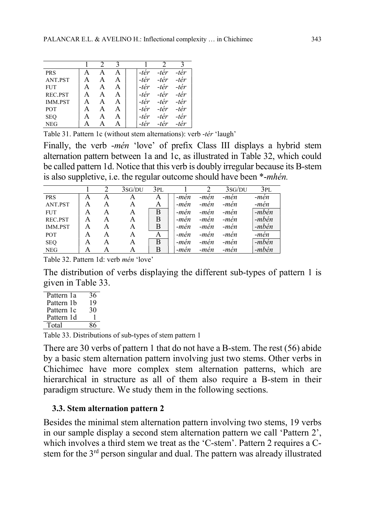| <b>PRS</b>     |   |  | -tér | -tér | -tér |
|----------------|---|--|------|------|------|
| ANT.PST        | А |  | -tér | -tér | -tér |
| <b>FUT</b>     | А |  | -tér | -tér | -tér |
| REC.PST        |   |  | -tér | -tér | -tér |
| <b>IMM.PST</b> | А |  | -tér | -tér | -tér |
| <b>POT</b>     |   |  | -tér | -tér | -tér |
| <b>SEQ</b>     |   |  | -tér | -tér | -tér |
| <b>NEG</b>     |   |  |      | 'er  |      |

Table 31. Pattern 1c (without stem alternations): verb -tér 'laugh'

Finally, the verb -*mén* 'love' of prefix Class III displays a hybrid stem alternation pattern between 1a and 1c, as illustrated in Table 32, which could be called pattern 1d. Notice that this verb is doubly irregular because its B-stem is also suppletive, i.e. the regular outcome should have been \*-mhén.

|                |   |   | 3sG/DU | 3PL |      |      | 3sG/DU | 3PL   |
|----------------|---|---|--------|-----|------|------|--------|-------|
| <b>PRS</b>     | А | А | A      | A   | -men | -men | -men   | -mén  |
| ANT.PST        | А | А | A      | A   | -men | -mén | -mén   | -mén  |
| <b>FUT</b>     | А | A | A      | B   | -mén | -mén | -mén   | -mbén |
| REC.PST        | A | А | A      | Β   | -mén | -men | -mèn   | -mbén |
| <b>IMM.PST</b> | A | A | Α      | Β   | -men | -men | -men   | -mbén |
| <b>POT</b>     | A | А | A      | A   | -mèn | -men | -mén   | -mén  |
| <b>SEQ</b>     | A | А | A      | B   | -mén | -men | -mén   | -mbén |
| <b>NEG</b>     | А | А | А      | B   | -men | -mèn | -mèn   | -mbén |

Table 32. Pattern 1d: verb mén 'love'

The distribution of verbs displaying the different sub-types of pattern 1 is given in Table 33.

| Pattern 1a | 36 |
|------------|----|
| Pattern 1b | 19 |
| Pattern 1c | 30 |
| Pattern 1d |    |
| Total      |    |
|            |    |

Table 33. Distributions of sub-types of stem pattern 1

There are 30 verbs of pattern 1 that do not have a B-stem. The rest (56) abide by a basic stem alternation pattern involving just two stems. Other verbs in Chichimec have more complex stem alternation patterns, which are hierarchical in structure as all of them also require a B-stem in their paradigm structure. We study them in the following sections.

# 3.3. Stem alternation pattern 2

Besides the minimal stem alternation pattern involving two stems, 19 verbs in our sample display a second stem alternation pattern we call 'Pattern 2', which involves a third stem we treat as the 'C-stem'. Pattern 2 requires a Cstem for the 3rd person singular and dual. The pattern was already illustrated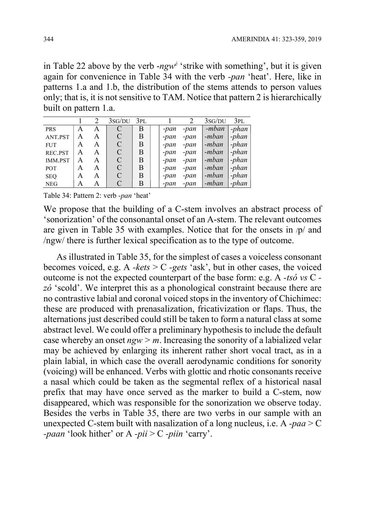in Table 22 above by the verb - $ngw^{\phi}$  'strike with something', but it is given again for convenience in Table 34 with the verb -pan 'heat'. Here, like in patterns 1.a and 1.b, the distribution of the stems attends to person values only; that is, it is not sensitive to TAM. Notice that pattern 2 is hierarchically built on pattern 1.a.

|                |   |   | $3sG/DU$ $3PL$ |   |      |      | 3sG/DU | 3PL     |
|----------------|---|---|----------------|---|------|------|--------|---------|
| <b>PRS</b>     | A | A |                | В | -pan | -pan | -mban  | $-phan$ |
| ANT.PST        | А | A | C              | B | -pan | -pan | -mban  | $-phan$ |
| <b>FUT</b>     | А | A | $\mathcal{C}$  | B | -pan | -pan | -mban  | -phan   |
| REC.PST        | A | A | C              | B | -pan | -pan | -mban  | -phan   |
| <b>IMM.PST</b> | A | A | C              | B | -pan | -pan | -mban  | -phan   |
| <b>POT</b>     | A | A | C              | B | -pan | -pan | -mban  | -phan   |
| <b>SEQ</b>     | A | A | $\mathcal{C}$  | В | -pan | -pan | -mban  | -phan   |
| <b>NEG</b>     | A | А |                | В | -pan | -pan | -mban  | -phan   |

Table 34: Pattern 2: verb -pan 'heat'

We propose that the building of a C-stem involves an abstract process of 'sonorization' of the consonantal onset of an A-stem. The relevant outcomes are given in Table 35 with examples. Notice that for the onsets in /p/ and /ngw/ there is further lexical specification as to the type of outcome.

As illustrated in Table 35, for the simplest of cases a voiceless consonant becomes voiced, e.g. A -kets  $> C$  -gets 'ask', but in other cases, the voiced outcome is not the expected counterpart of the base form: e.g. A -tsó vs C zó 'scold'. We interpret this as a phonological constraint because there are no contrastive labial and coronal voiced stops in the inventory of Chichimec: these are produced with prenasalization, fricativization or flaps. Thus, the alternations just described could still be taken to form a natural class at some abstract level. We could offer a preliminary hypothesis to include the default case whereby an onset  $ngw > m$ . Increasing the sonority of a labialized velar may be achieved by enlarging its inherent rather short vocal tract, as in a plain labial, in which case the overall aerodynamic conditions for sonority (voicing) will be enhanced. Verbs with glottic and rhotic consonants receive a nasal which could be taken as the segmental reflex of a historical nasal prefix that may have once served as the marker to build a C-stem, now disappeared, which was responsible for the sonorization we observe today. Besides the verbs in Table 35, there are two verbs in our sample with an unexpected C-stem built with nasalization of a long nucleus, i.e. A  $-paa > C$ -paan 'look hither' or A -pii >  $C$  -piin 'carry'.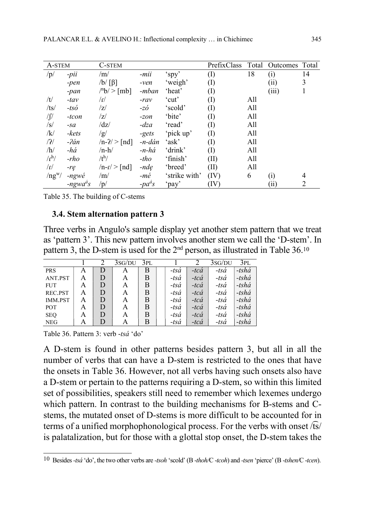| A-STEM             |                | <b>C-STEM</b>                       |                  |               | PrefixClass | Total | Outcomes Total |                |
|--------------------|----------------|-------------------------------------|------------------|---------------|-------------|-------|----------------|----------------|
| /p/                | $-pii$         | /m/                                 | -mii             | 'spy'         | (I)         | 18    | (i)            | 14             |
|                    | $-pen$         | $/b/ [\beta]$                       | $-ven$           | 'weigh'       | (I)         |       | (ii)           | 3              |
|                    | $-pan$         | $\binom{m}{b}$ > $\lceil mb \rceil$ | -mban            | 'heat'        | (I)         |       | (iii)          |                |
| /t/                | $-tav$         | $\ln$                               | $-rav$           | 'cut'         | (I)         | All   |                |                |
| /ts/               | $-ts\acute{o}$ | z                                   | -zó              | 'scold'       | (I)         | All   |                |                |
| $\int$             | $-ton$         | /z/                                 | $-zon$           | 'bite'        | (I)         | All   |                |                |
| $\sqrt{s}$         | $-Sa$          | $\frac{dz}{z}$                      | $-dza$           | 'read'        | (I)         | All   |                |                |
| /k/                | -kets          | /g/                                 | -gets            | 'pick up'     | (I)         | All   |                |                |
| /2/                | $-2an$         | $/n - ? > \lceil nd \rceil$         | -n-dán           | 'ask'         | (I)         | All   |                |                |
| /h/                | -há            | $/n-h/$                             | -n-há            | 'drink'       | (I)         | All   |                |                |
| $\Lambda^{h}$      | $-rho$         | $/t^h/$                             | $-tho$           | 'finish'      | (II)        | All   |                |                |
| $\sqrt{\Gamma}$    | $-re$          | $/n-r$ [nd]                         | $-nde$           | 'breed'       | (II)        | All   |                |                |
| $\frac{mg^{w}}{2}$ | -ngwé          | /m/                                 | -mé              | 'strike with' | (IV)        | 6     | (i)            | 4              |
|                    | $-ngwaas$      | /p/                                 | $-pa^{\dot{a}}s$ | 'pay'         | (IV)        |       | (i)            | $\overline{2}$ |

Table 35. The building of C-stems

## 3.4. Stem alternation pattern 3

Three verbs in Angulo's sample display yet another stem pattern that we treat as 'pattern 3'. This new pattern involves another stem we call the 'D-stem'. In pattern 3, the D-stem is used for the 2<sup>nd</sup> person, as illustrated in Table 36.<sup>10</sup>

|                |   |   | 3sg/DU | 3PL |                | ာ              | 3SG/DU         | 3PL             |
|----------------|---|---|--------|-----|----------------|----------------|----------------|-----------------|
| <b>PRS</b>     | A |   | А      | Β   | $-ts\dot{a}$   | $-tc\dot{a}$   | $-ts\acute{a}$ | $-tsh\acute{a}$ |
| ANT.PST        | A | D | A      | Β   | $-ts\acute{a}$ | $-tc\acute{a}$ | $-ts\acute{a}$ | -tshá           |
| <b>FUT</b>     | A | D | A      | Β   | $-ts\acute{a}$ | $-tc\acute{a}$ | $-ts\acute{a}$ | -tshá           |
| REC.PST        | A | D | A      | Β   | $-ts\acute{a}$ | $-tc\acute{a}$ | $-ts\acute{a}$ | $-tsh\acute{a}$ |
| <b>IMM.PST</b> | А | D | A      | В   | $-ts\acute{a}$ | $-tc\acute{a}$ | $-ts\acute{a}$ | $-tsh\acute{a}$ |
| <b>POT</b>     | А | D | A      | В   | $-ts\acute{a}$ | $-tc\acute{a}$ | $-ts\acute{a}$ | $-tsh\acute{a}$ |
| <b>SEQ</b>     | A | D | A      | Β   | $-ts\acute{a}$ | $-tc\acute{a}$ | $-ts\acute{a}$ | $-tsh\acute{a}$ |
| <b>NEG</b>     | A |   |        | B   | $-ts\acute{a}$ | $-tc\acute{a}$ | $-ts\acute{a}$ | $-tsh\acute{a}$ |

Table 36. Pattern 3: verb -tsá 'do'

A D-stem is found in other patterns besides pattern 3, but all in all the number of verbs that can have a D-stem is restricted to the ones that have the onsets in Table 36. However, not all verbs having such onsets also have a D-stem or pertain to the patterns requiring a D-stem, so within this limited set of possibilities, speakers still need to remember which lexemes undergo which pattern. In contrast to the building mechanisms for B-stems and Cstems, the mutated onset of D-stems is more difficult to be accounted for in terms of a unified morphophonological process. For the verbs with onset /͡ts/ is palatalization, but for those with a glottal stop onset, the D-stem takes the

 $\overline{1}$ <sup>10</sup> Besides -tsá 'do', the two other verbs are -tsoh 'scold' (B -thoh/C -tcoh) and -tsen 'pierce' (B -tshen/C -tcen).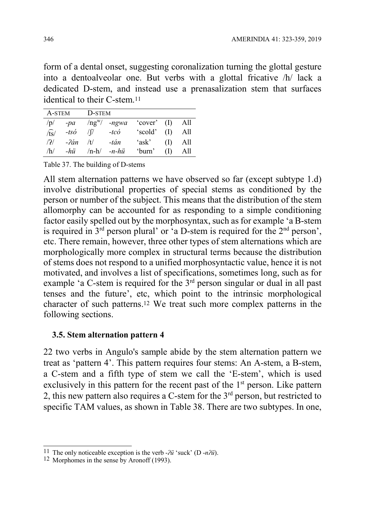form of a dental onset, suggesting coronalization turning the glottal gesture into a dentoalveolar one. But verbs with a glottal fricative /h/ lack a dedicated D-stem, and instead use a prenasalization stem that surfaces identical to their C-stem.<sup>11</sup>

|  | A-STEM D-STEM |                                                    |  |
|--|---------------|----------------------------------------------------|--|
|  |               | $/p/$ -pa /ng <sup>w</sup> / -ngwa 'cover' (I) All |  |
|  |               | $\sqrt{ts}$ -tsó $\sqrt{f}$ -tcó 'scold' (I) All   |  |
|  |               | $\sqrt{2}$ - $2an /t$ -tán 'ask' (I) All           |  |
|  |               | $/h/$ -hü /n-h/ -n-hü 'burn' (I) All               |  |

Table 37. The building of D-stems

All stem alternation patterns we have observed so far (except subtype 1.d) involve distributional properties of special stems as conditioned by the person or number of the subject. This means that the distribution of the stem allomorphy can be accounted for as responding to a simple conditioning factor easily spelled out by the morphosyntax, such as for example 'a B-stem is required in  $3<sup>rd</sup>$  person plural' or  $4<sup>2</sup>$  person',  $\frac{1}{2}$  person', etc. There remain, however, three other types of stem alternations which are morphologically more complex in structural terms because the distribution of stems does not respond to a unified morphosyntactic value, hence it is not motivated, and involves a list of specifications, sometimes long, such as for example 'a C-stem is required for the 3rd person singular or dual in all past tenses and the future', etc, which point to the intrinsic morphological character of such patterns.12 We treat such more complex patterns in the following sections.

# 3.5. Stem alternation pattern 4

22 two verbs in Angulo's sample abide by the stem alternation pattern we treat as 'pattern 4'. This pattern requires four stems: An A-stem, a B-stem, a C-stem and a fifth type of stem we call the 'E-stem', which is used exclusively in this pattern for the recent past of the  $1<sup>st</sup>$  person. Like pattern 2, this new pattern also requires a C-stem for the  $3<sup>rd</sup>$  person, but restricted to specific TAM values, as shown in Table 38. There are two subtypes. In one,

 $\overline{1}$ <sup>11</sup> The only noticeable exception is the verb - $\partial \ddot{u}$  'suck' (D -n $\partial \ddot{u}$ ).

<sup>12</sup> Morphomes in the sense by Aronoff (1993).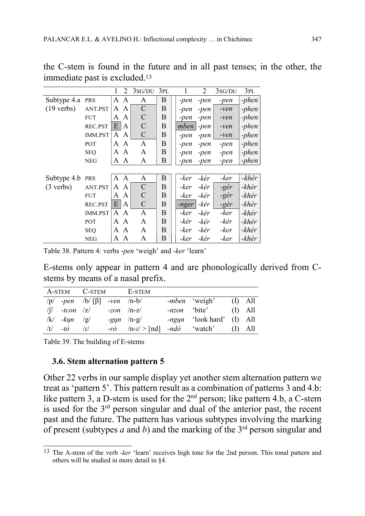|                      |                | 1<br>2                       | 3sG/DU         | 3PL |         | 2      | 3sG/DU | 3PL     |
|----------------------|----------------|------------------------------|----------------|-----|---------|--------|--------|---------|
| Subtype 4.a          | PRS            | A<br>A                       | A              | B   | -pen    | -pen   | -pen   | -phen   |
| $(19 \text{ verbs})$ | ANT.PST        | A<br>A                       | $\overline{C}$ | B   | -pen    | -pen   | $-ven$ | -phen   |
|                      | <b>FUT</b>     | A<br>A                       | C              | B   | -pen    | -pen   | $-ven$ | $-phen$ |
|                      | REC.PST        | E<br>A                       | C              | B   | mben    | $-pen$ | $-ven$ | -phen   |
|                      | <b>IMM.PST</b> | A<br>$\mathsf{A}$            | $\mathcal{C}$  | B   | -pen    | -pen   | $-ven$ | -phen   |
|                      | <b>POT</b>     | $\mathsf{A}$<br>$\mathsf{A}$ | A              | B   | -pen    | -pen   | $-pen$ | -phen   |
|                      | <b>SEO</b>     | $\boldsymbol{A}$<br>A        | A              | B   | -pen    | -pen   | -pen   | $-phen$ |
|                      | <b>NEG</b>     | $\boldsymbol{A}$<br>A        | A              | B   | -pen    | -pen   | -pen   | -phen   |
|                      |                |                              |                |     |         |        |        |         |
| Subtype 4.b PRS      |                | A A                          | A              | B   | -ker    | -kér   | -ker   | -khér   |
| $(3 \text{ verbs})$  | ANT.PST        | A<br>A                       | $\overline{C}$ | B   | -ker    | -kér   | -gér   | -khér   |
|                      | <b>FUT</b>     | A<br>A                       | C              | B   | -ker    | -kér   | -gér   | -khér   |
|                      | REC.PST        | E<br>A                       | $\mathbf C$    | B   | $-nger$ | -kér   | -gér   | -khér   |
|                      | <b>IMM.PST</b> | $\mathsf{A}$<br>$\mathsf{A}$ | $\mathsf{A}$   | B   | -ker    | -kér   | -ker   | -khér   |
|                      | <b>POT</b>     | A<br>$\mathsf{A}$            | A              | B   | -kér    | -kér   | -kér   | -khér   |
|                      | <b>SEQ</b>     | A<br>A                       | A              | B   | -ker    | -kér   | -ker   | -khér   |
|                      | <b>NEG</b>     | A<br>A                       | A              | B   | -ker    | -kér   | -ker   | -khér   |

the C-stem is found in the future and in all past tenses; in the other, the immediate past is excluded.<sup>13</sup>

Table 38. Pattern 4: verbs -pen 'weigh' and -ker 'learn'

E-stems only appear in pattern 4 and are phonologically derived from Cstems by means of a nasal prefix.

|                  |                                          | A-STEM C-STEM E-STEM                                     |                              |  |
|------------------|------------------------------------------|----------------------------------------------------------|------------------------------|--|
|                  | $/p/$ -pen $/b/ [\beta]$ -ven $/n-b/$    |                                                          | <i>-mben</i> 'weigh' (I) All |  |
|                  | $\sqrt{y}$ -tcon $ z $ -zon $\sqrt{n-z}$ |                                                          | -nzon 'bite' (I) All         |  |
| $ k $ -kun $ g $ |                                          | $-gyn$ /n-g/                                             | -ngun 'look hard' (I) All    |  |
| $/t$ -to $/t$    |                                          | $-r\acute{o}$ /n-f/>[nd] -nd $\acute{o}$ 'watch' (I) All |                              |  |

Table 39. The building of E-stems

#### 3.6. Stem alternation pattern 5

Other 22 verbs in our sample display yet another stem alternation pattern we treat as 'pattern 5'. This pattern result as a combination of patterns 3 and 4.b: like pattern 3, a D-stem is used for the  $2<sup>nd</sup>$  person; like pattern 4.b, a C-stem is used for the  $3<sup>rd</sup>$  person singular and dual of the anterior past, the recent past and the future. The pattern has various subtypes involving the marking of present (subtypes a and b) and the marking of the  $3<sup>rd</sup>$  person singular and

 $\overline{1}$ <sup>13</sup> The A-stem of the verb *-ker* 'learn' receives high tone for the 2nd person. This tonal pattern and others will be studied in more detail in §4.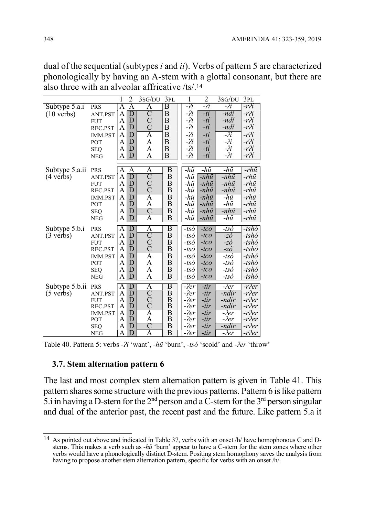dual of the sequential (subtypes i and ii). Verbs of pattern 5 are characterized phonologically by having an A-stem with a glottal consonant, but there are also three with an alveolar affricative /ts/.<sup>14</sup>

|                      |                |                    | $\overline{2}$          | 3sG/DU             | 3PL                     |                | $\overline{2}$ | 3SG/DU | 3PL       |
|----------------------|----------------|--------------------|-------------------------|--------------------|-------------------------|----------------|----------------|--------|-----------|
| Subtype 5.a.i        | PRS            | A                  | Α                       | Α                  | $\overline{\mathrm{B}}$ | -?i            | -ʔi            | -ʔi    | -rʔí      |
| $(10 \text{ verbs})$ | ANT.PST        | A                  | $\overline{D}$          | $\overline{\rm C}$ | B                       | $-i$           | -tí            | -ndi   | $-r2i$    |
|                      | <b>FUT</b>     | A                  | D                       | $\mathcal{C}$      | B                       | $-i$           | -tí            | -ndí   | -rʔí      |
|                      | REC.PST        | A                  | D                       | $\overline{C}$     | B                       | $-i$           | -tí            | -ndi   | $-r$ $i$  |
|                      | <b>IMM.PST</b> | A                  | D                       | A                  | B                       | $-i$           | -tí            | -?i    | $-r$ $i$  |
|                      | POT            | A                  | D                       | A                  | B                       | $-2i$          | -tí            | $-2i$  | $-r$ $i$  |
|                      | <b>SEQ</b>     | A                  | D                       | A                  | B                       | $-i$           | $-ti$          | $-i$   | $-r$ $i$  |
|                      | <b>NEG</b>     | A                  | D                       | A                  | B                       | $-i$           | $-ti$          | $-2i$  | $-r$ $2i$ |
|                      |                |                    |                         |                    |                         |                |                |        |           |
| Subtype 5.a.ii       | <b>PRS</b>     | A                  | A                       | A                  | $\overline{B}$          | -hü            | -hü            | -hü    | -rhü      |
| $(4 \text{ verbs})$  | ANT.PST        | A                  | $\overline{D}$          | $\overline{C}$     | B                       | -hü            | $-nh\ddot{u}$  | -nhü   | -rhü      |
|                      | <b>FUT</b>     | A                  | $\overline{\mathrm{D}}$ | $\mathcal{C}$      | B                       | -hü            | -nhü           | -nhü   | -rhü      |
|                      | REC.PST        | A                  | D                       | $\overline{C}$     | B                       | -hü            | -nhü           | -nhü   | -rhü      |
|                      | IMM.PST        | A                  | D                       | Ā                  | B                       | -hü            | -nhü           | -hü    | -rhü      |
|                      | POT            | A                  | $\overline{\mathrm{D}}$ | A                  | B                       | -hü            | -nhü           | -hü    | -rhü      |
|                      | <b>SEQ</b>     | A                  | D                       | $\overline{\rm C}$ | B                       | -hü            | -nhü           | -nhü   | -rhü      |
|                      | <b>NEG</b>     | A                  | D                       | $\overline{\rm A}$ | B                       | -hü            | -nhü           | -hü    | -rhü      |
| Subtype 5.b.i        | PRS            | A                  | D                       | A                  | B                       | -tsó           | $-tco$         | -tsó   | $-tsh$ ó  |
| $(3 \text{ verbs})$  | ANT.PST        | A                  | D                       | $\overline{C}$     | B                       | $-ts\acute{o}$ | $-tco$         | -zó    | $-tsh$ ó  |
|                      | <b>FUT</b>     | A                  | D                       | $\overline{C}$     | B                       | $-ts\acute{o}$ | $-tco$         | -zó    | -tshó     |
|                      | REC.PST        | A                  | D                       | $\overline{C}$     | B                       | $-ts$ ó        | $-tco$         | -zó    | -tshó     |
|                      | IMM.PST        | A                  | D                       | $\overline{\rm A}$ | B                       | $-ts$ ó        | $-tco$         | -tsó   | -tshó     |
|                      | POT            | A                  | D                       | A                  | B                       | $-ts$ ó        | $-tco$         | -tsó   | -tshó     |
|                      | <b>SEQ</b>     | A                  | D                       | A                  | B                       | -tsó           | $-tco$         | -tsó   | -tshó     |
|                      | <b>NEG</b>     | A                  | D                       | A                  | B                       | $-ts\acute{o}$ | $-tco$         | -tsó   | -tshó     |
| Subtype 5.b.ii       | PRS            | $\overline{\rm A}$ | $\overline{\rm D}$      | $\overline{\rm A}$ | B                       | $-2er$         | $-tir$         | -?er   | -r?er     |
| $(5 \text{ verbs})$  | ANT.PST        | A                  | D                       | $\overline{\rm C}$ | B                       | $-2er$         | $-tir$         | -ndir  | $-r2er$   |
|                      | <b>FUT</b>     | A                  | D                       | $\mathcal{C}$      | B                       | $-2er$         | $-tir$         | -ndir  | $-r2er$   |
|                      | REC.PST        | A                  | D                       | $\mathsf{C}$       | B                       | $-2er$         | -tir           | -ndir  | $-r2er$   |
|                      | IMM.PST        | A                  | D                       | A                  | B                       | $-2er$         | $-tir$         | -?er   | -r?er     |
|                      | POT            | A                  | D                       | A                  | B                       | $-2er$         | $-tir$         | -?er   | -r?er     |
|                      | <b>SEQ</b>     | A                  | D                       | C                  | B                       | $-2er$         | $-tir$         | -ndir  | $-r2er$   |
|                      | <b>NEG</b>     | A                  | D                       | Ā                  | B                       | $-2er$         | -tir           | -?er   | -r?er     |

Table 40. Pattern 5: verbs - $\lambda$ i 'want', -hü 'burn', -tsó 'scold' and - $\lambda$ er 'throw'

#### 3.7. Stem alternation pattern 6

The last and most complex stem alternation pattern is given in Table 41. This pattern shares some structure with the previous patterns. Pattern 6 is like pattern 5.i in having a D-stem for the  $2<sup>nd</sup>$  person and a C-stem for the  $3<sup>rd</sup>$  person singular and dual of the anterior past, the recent past and the future. Like pattern 5.a it

 $\overline{a}$ 14 As pointed out above and indicated in Table 37, verbs with an onset /h/ have homophonous C and Dstems. This makes a verb such as -hü 'burn' appear to have a C-stem for the stem zones where other verbs would have a phonologically distinct D-stem. Positing stem homophony saves the analysis from having to propose another stem alternation pattern, specific for verbs with an onset /h/.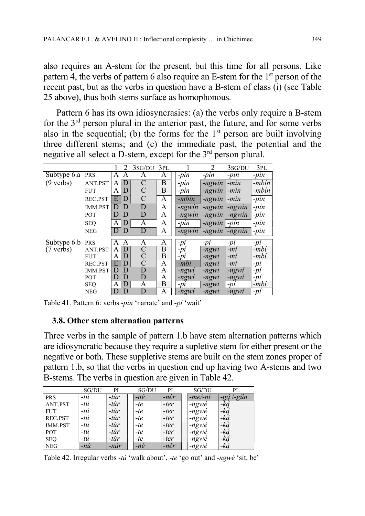also requires an A-stem for the present, but this time for all persons. Like pattern 4, the verbs of pattern 6 also require an E-stem for the  $1<sup>st</sup>$  person of the recent past, but as the verbs in question have a B-stem of class (i) (see Table 25 above), thus both stems surface as homophonous.

Pattern 6 has its own idiosyncrasies: (a) the verbs only require a B-stem for the  $3<sup>rd</sup>$  person plural in the anterior past, the future, and for some verbs also in the sequential; (b) the forms for the  $1<sup>st</sup>$  person are built involving three different stems; and (c) the immediate past, the potential and the negative all select a D-stem, except for the 3<sup>rd</sup> person plural.

|                     |                |              | $\mathcal{D}_{\mathcal{L}}$ | 3sG/DU         | 3PL                     |          | 2               | 3sG/DU  | 3PL    |
|---------------------|----------------|--------------|-----------------------------|----------------|-------------------------|----------|-----------------|---------|--------|
| Subtype 6.a         | <b>PRS</b>     | A            | A                           | Α              | A                       | $-pin$   | $-pin$          | $-pin$  | $-pin$ |
| $(9 \text{ verbs})$ | ANT.PST        | Α            | D                           | $\overline{C}$ | Β                       | $-pin$   | $-ngwin$        | $-min$  | -mbin  |
|                     | <b>FUT</b>     | A            | D                           | C              | B                       | $-pin$   | -ngwin          | $-min$  | -mbin  |
|                     | <b>REC.PST</b> | E            | D                           | $\mathcal{C}$  | A                       | -mbin    | -ngwin          | $-min$  | $-pin$ |
|                     | <b>IMM.PST</b> | $\mathsf{D}$ | D                           | D              | A                       | -ngwin   | -ngwin          | -ngwin  | $-pin$ |
|                     | <b>POT</b>     | D            | D                           | D              | A                       | -ngwin   | -ngwin          | -ngwin  | -pin   |
|                     | <b>SEQ</b>     | A            | D                           | A              | A                       | $-pin$   | $-ngwin$ $-pin$ |         | $-pin$ |
|                     | <b>NEG</b>     | D            | D                           | D              | A                       | $-ngwin$ | -ngwin          | -ngwin  | $-pin$ |
| Subtype 6.b         | <b>PRS</b>     | А            | А                           | Α              | A                       | $-pi$    | $-Dl$           | $-Dl$   | $-pi$  |
| $(7 \text{ verbs})$ | ANT.PST        | A            | D                           | $\overline{C}$ | Β                       | $-pi$    | -ngwi           | -mí     | $-mbi$ |
|                     | <b>FUT</b>     | A            | D                           | $\mathcal{C}$  | B                       | $-pi$    | -ngwi           | $-mi$   | -mbí   |
|                     | REC.PST        | E            | D                           | C              | A                       | -mbi     | -ngwi           | $-mi$   | $-pi$  |
|                     | <b>IMM.PST</b> | D            | D                           | D              | A                       | $-ngwi$  | -ngwi           | $-ngwi$ | $-pi$  |
|                     | <b>POT</b>     | D            | D                           | D              | A                       | $-ngwi$  | -ngwi           | -ngwi   | $-pi$  |
|                     | <b>SEQ</b>     | A            | D                           | Α              | $\overline{\mathrm{B}}$ | $-pi$    | -ngwi           | $-pi$   | -mbí   |
|                     | NEG            | D            | D                           | D              | A                       | $-ngwi$  | -ngwi           | $-ngwi$ | $-pi$  |

Table 41. Pattern 6: verbs -pín 'narrate' and -pí 'wait'

#### 3.8. Other stem alternation patterns

Three verbs in the sample of pattern 1.b have stem alternation patterns which are idiosyncratic because they require a supletive stem for either present or the negative or both. These suppletive stems are built on the stem zones proper of pattern 1.b, so that the verbs in question end up having two A-stems and two B-stems. The verbs in question are given in Table 42.

|                | SG/DU       | PL     | SG/DU         | PL     | SG/DU           | PL           |
|----------------|-------------|--------|---------------|--------|-----------------|--------------|
| <b>PRS</b>     | -tú         | -túr   | $-ne$         | -nér   | $-me$ -ni       | '-gün<br>-gą |
| ANT.PST        | -tú         | $-túr$ | $-te$         | -ter   | $-ngw\acute{e}$ | -ká          |
| <b>FUT</b>     | $-t\dot{u}$ | $-túr$ | $-te$         | -ter   | -ngwé           | -ká          |
| REC.PST        | -tú         | $-túr$ | $-te$         | -ter   | -ngwé           | -ką́         |
| <b>IMM.PST</b> | $-t\dot{u}$ | $-túr$ | $-te$         | -ter   | $-ngw\acute{e}$ | -ką          |
| POT            | $-t\dot{u}$ | $-túr$ | $-te$         | $-ter$ | -ngwé           | -ką́         |
| <b>SEQ</b>     | $-t\dot{u}$ | $-túr$ | $-te$         | $-ter$ | -ngwé           | -ká          |
| <b>NEG</b>     | $-n\nu$     | $-núr$ | $-n\acute{e}$ | -nér   | -ngwé           | -ká          |

Table 42. Irregular verbs -tú 'walk about', -te 'go out' and -ngwé 'sit, be'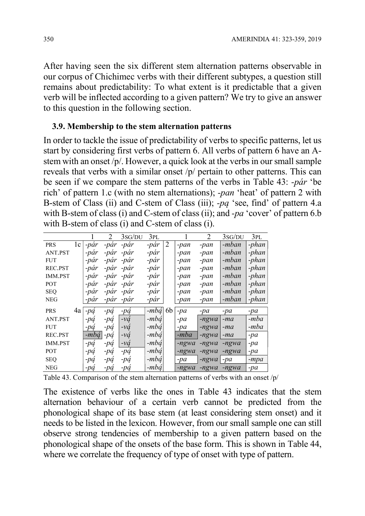After having seen the six different stem alternation patterns observable in our corpus of Chichimec verbs with their different subtypes, a question still remains about predictability: To what extent is it predictable that a given verb will be inflected according to a given pattern? We try to give an answer to this question in the following section.

#### 3.9. Membership to the stem alternation patterns

In order to tackle the issue of predictability of verbs to specific patterns, let us start by considering first verbs of pattern 6. All verbs of pattern 6 have an Astem with an onset /p/. However, a quick look at the verbs in our small sample reveals that verbs with a similar onset /p/ pertain to other patterns. This can be seen if we compare the stem patterns of the verbs in Table 43: -pár 'be rich' of pattern 1.c (with no stem alternations); -pan 'heat' of pattern 2 with B-stem of Class (ii) and C-stem of Class (iii); -pą 'see, find' of pattern 4.a with B-stem of class (i) and C-stem of class (ii); and -pa 'cover' of pattern 6.b with B-stem of class (i) and C-stem of class (i).

|                |    |       | $\mathcal{D}_{\cdot}$ | 3sG/DU    | 3pl            |    |         | 2             | 3sG/DU | 3PL    |
|----------------|----|-------|-----------------------|-----------|----------------|----|---------|---------------|--------|--------|
| <b>PRS</b>     | 1c | -pár  | -pár                  | -par      | -pár           | 2  | -pan    | -pan          | -mban  | -phan  |
| ANT.PST        |    | -pàr  | -pár                  | -pár      | -pár           |    | -pan    | -pan          | -mban  | -phan  |
| <b>FUT</b>     |    | -pàr  | -pár                  | -pár      | -pár           |    | -pan    | -pan          | -mban  | -phan  |
| REC.PST        |    | -pár  |                       | -pár -pár | -pár           |    | -pan    | -pan          | -mban  | -phan  |
| <b>IMM.PST</b> |    | -pár  |                       | -pár -pár | -pár           |    | -pan    | -pan          | -mban  | -phan  |
| <b>POT</b>     |    | -pár  |                       | -pár -pár | -pár           |    | -pan    | -pan          | -mban  | -phan  |
| <b>SEQ</b>     |    | -pár  | -pár -pár             |           | -pár           |    | -pan    | -pan          | -mban  | -phan  |
| <b>NEG</b>     |    | -pàr  | -pár                  | -pár      | -pàr           |    | -pan    | -pan          | -mban  | -phan  |
| <b>PRS</b>     | 4a | $-pq$ | $-pq$                 | $-pq$     | $-mb\acute{a}$ | 6b | $-pa$   | $-pa$         | $-pa$  | $-pa$  |
| ANT.PST        |    | -pa   | $-pq$                 | $\nu a$   | $-mb\acute{a}$ |    | $-pa$   | -ngwa         | $-ma$  | -mba   |
| <b>FUT</b>     |    | -pa   | $-pq$                 | $-\nu q$  | $-mb\acute{q}$ |    | $-pa$   | -ngwa         | -ma    | -mba   |
| REC.PST        |    | -mbá  | $-pq$                 | $-vq$     | $-mb\acute{a}$ |    | -mba    | $-ngwa$       | -ma    | $-pa$  |
| <b>IMM.PST</b> |    | $-pq$ | $-pq$                 | $-\nu a$  | $-mb\acute{a}$ |    | -ngwa   | -ngwa         | -ngwa  | $-pa$  |
| <b>POT</b>     |    | -pa   | $-pq$                 | $-pq$     | $-mb\acute{a}$ |    | $-ngwa$ | -ngwa         | -ngwa  | $-pa$  |
| <b>SEQ</b>     |    | -pa   | $-pq$                 | $-pq$     | $-mb\acute{a}$ |    | $-pa$   | $-ngwa$ $-pa$ |        | $-mpa$ |
| NEG            |    | -pa   | $-pq$                 | $-pq$     | $-mb\acute{a}$ |    | -ngwa   | $-ngwa$       | -ngwa  | -pa    |

Table 43. Comparison of the stem alternation patterns of verbs with an onset /p/

The existence of verbs like the ones in Table 43 indicates that the stem alternation behaviour of a certain verb cannot be predicted from the phonological shape of its base stem (at least considering stem onset) and it needs to be listed in the lexicon. However, from our small sample one can still observe strong tendencies of membership to a given pattern based on the phonological shape of the onsets of the base form. This is shown in Table 44, where we correlate the frequency of type of onset with type of pattern.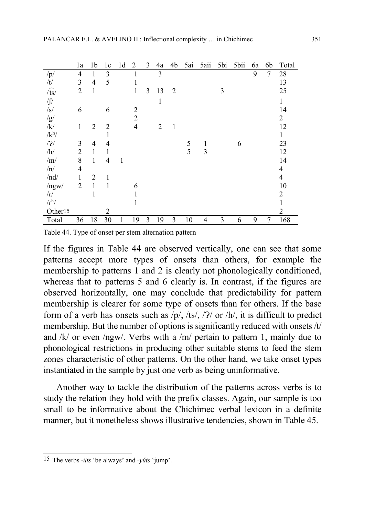|                 | 1a             | 1 <sub>b</sub> | 1 <sub>c</sub> | 1 <sub>d</sub> | $\overline{2}$ | 3              | 4a             | 4b             | 5ai | 5aii         | 5bi | 5bii | 6a | 6b             | Total          |
|-----------------|----------------|----------------|----------------|----------------|----------------|----------------|----------------|----------------|-----|--------------|-----|------|----|----------------|----------------|
| /p/             | $\overline{4}$ | $\mathbf{1}$   | 3              |                |                |                | 3              |                |     |              |     |      | 9  | $\overline{7}$ | 28             |
| /t/             | 3              | $\overline{4}$ | 5              |                | 1              |                |                |                |     |              |     |      |    |                | 13             |
| $\sqrt{ts}$     | $\overline{2}$ | $\mathbf{1}$   |                |                | $\mathbf{1}$   | $\mathfrak{Z}$ | 13             | $\overline{2}$ |     |              | 3   |      |    |                | 25             |
| $\sqrt{\int}$   |                |                |                |                |                |                | $\mathbf{1}$   |                |     |              |     |      |    |                | 1              |
| $\sqrt{s}$      | 6              |                | 6              |                | $\overline{2}$ |                |                |                |     |              |     |      |    |                | 14             |
| /g/             |                |                |                |                | $\overline{2}$ |                |                |                |     |              |     |      |    |                | $\overline{2}$ |
| /k/             | $\mathbf{1}$   | $\overline{2}$ | $\overline{2}$ |                | $\overline{4}$ |                | $\overline{2}$ | $\mathbf{1}$   |     |              |     |      |    |                | 12             |
| $/k^h/$         |                |                | 1              |                |                |                |                |                |     |              |     |      |    |                | 1              |
| /2/             | 3              | $\overline{4}$ | $\overline{4}$ |                |                |                |                |                | 5   | $\mathbf{1}$ |     | 6    |    |                | 23             |
| /h/             | $\overline{2}$ | $\mathbf{1}$   | 1              |                |                |                |                |                | 5   | 3            |     |      |    |                | 12             |
| /m/             | 8              | $\mathbf{1}$   | $\overline{4}$ | 1              |                |                |                |                |     |              |     |      |    |                | 14             |
| /n/             | 4              |                |                |                |                |                |                |                |     |              |     |      |    |                | 4              |
| /nd/            | $\mathbf{1}$   | $\overline{2}$ | 1              |                |                |                |                |                |     |              |     |      |    |                | $\overline{4}$ |
| ngw/            | $\overline{2}$ | $\mathbf{1}$   | 1              |                | 6              |                |                |                |     |              |     |      |    |                | 10             |
| $\sqrt{\Gamma}$ |                | 1              |                |                |                |                |                |                |     |              |     |      |    |                | $\overline{2}$ |
| $\Lambda^{h}$   |                |                |                |                | 1              |                |                |                |     |              |     |      |    |                | 1              |
| Other15         |                |                | $\overline{2}$ |                |                |                |                |                |     |              |     |      |    |                | $\overline{2}$ |
| Total           | 36             | 18             | 30             |                | 19             | 3              | 19             | 3              | 10  | 4            | 3   | 6    | 9  | 7              | 168            |

Table 44. Type of onset per stem alternation pattern

If the figures in Table 44 are observed vertically, one can see that some patterns accept more types of onsets than others, for example the membership to patterns 1 and 2 is clearly not phonologically conditioned, whereas that to patterns 5 and 6 clearly is. In contrast, if the figures are observed horizontally, one may conclude that predictability for pattern membership is clearer for some type of onsets than for others. If the base form of a verb has onsets such as  $/p/$ , /ts/, / $?$ / or /h/, it is difficult to predict membership. But the number of options is significantly reduced with onsets /t/ and  $/k/$  or even /ngw/. Verbs with a /m/ pertain to pattern 1, mainly due to phonological restrictions in producing other suitable stems to feed the stem zones characteristic of other patterns. On the other hand, we take onset types instantiated in the sample by just one verb as being uninformative.

Another way to tackle the distribution of the patterns across verbs is to study the relation they hold with the prefix classes. Again, our sample is too small to be informative about the Chichimec verbal lexicon in a definite manner, but it nonetheless shows illustrative tendencies, shown in Table 45.

 $\overline{1}$ 15 The verbs -üts 'be always' and -yúts 'jump'.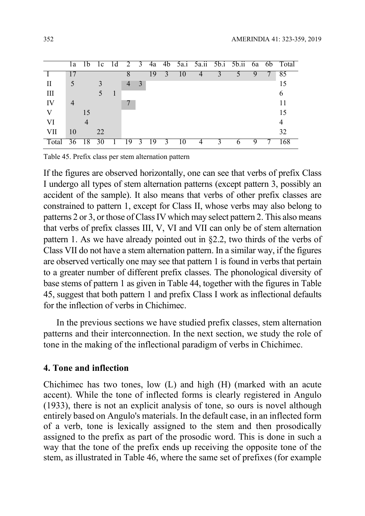|         | 1a             | 1b. | - I c | - Id | 2 3            |                |      |   |   |  |  | 4a 4b 5a.i 5a.ii 5b.i 5b.ii 6a 6b Total |
|---------|----------------|-----|-------|------|----------------|----------------|------|---|---|--|--|-----------------------------------------|
|         |                |     |       |      |                |                | 19   |   |   |  |  | 85                                      |
| $\prod$ |                |     |       |      | $\overline{4}$ | $\overline{3}$ |      |   |   |  |  | 15                                      |
| III     |                |     |       | -1   |                |                |      |   |   |  |  | 6                                       |
| IV      | $\overline{4}$ |     |       |      |                |                |      |   |   |  |  | 11                                      |
|         |                | 15  |       |      |                |                |      |   |   |  |  | 15                                      |
| VI      |                |     |       |      |                |                |      |   |   |  |  | 4                                       |
| VII     | 10             |     | 22    |      |                |                |      |   |   |  |  | 32                                      |
| Total   |                | 18  | 30    |      | -19            | - 3            | - 19 | 3 | 4 |  |  | 168                                     |

Table 45. Prefix class per stem alternation pattern

If the figures are observed horizontally, one can see that verbs of prefix Class I undergo all types of stem alternation patterns (except pattern 3, possibly an accident of the sample). It also means that verbs of other prefix classes are constrained to pattern 1, except for Class II, whose verbs may also belong to patterns 2 or 3, or those of Class IV which may select pattern 2. This also means that verbs of prefix classes III, V, VI and VII can only be of stem alternation pattern 1. As we have already pointed out in §2.2, two thirds of the verbs of Class VII do not have a stem alternation pattern. In a similar way, if the figures are observed vertically one may see that pattern 1 is found in verbs that pertain to a greater number of different prefix classes. The phonological diversity of base stems of pattern 1 as given in Table 44, together with the figures in Table 45, suggest that both pattern 1 and prefix Class I work as inflectional defaults for the inflection of verbs in Chichimec.

In the previous sections we have studied prefix classes, stem alternation patterns and their interconnection. In the next section, we study the role of tone in the making of the inflectional paradigm of verbs in Chichimec.

#### 4. Tone and inflection

Chichimec has two tones, low (L) and high (H) (marked with an acute accent). While the tone of inflected forms is clearly registered in Angulo (1933), there is not an explicit analysis of tone, so ours is novel although entirely based on Angulo's materials. In the default case, in an inflected form of a verb, tone is lexically assigned to the stem and then prosodically assigned to the prefix as part of the prosodic word. This is done in such a way that the tone of the prefix ends up receiving the opposite tone of the stem, as illustrated in Table 46, where the same set of prefixes (for example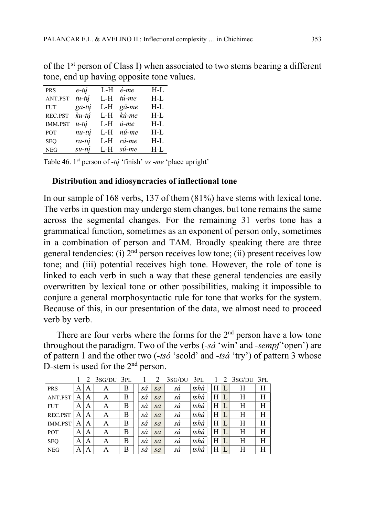| PRS            | e-tú            | L-H   | é-me           | $H-L$ |
|----------------|-----------------|-------|----------------|-------|
| ANT.PST        | $tu-t$ <i>u</i> | L-H   | tú-me          | $H-L$ |
| <b>FUT</b>     | $ga-t$          |       | $L-H$ gá-me    | $H-L$ |
| REC.PST        | ku-tú           | $L-H$ | kú-me          | $H-L$ |
| <b>IMM.PST</b> | $u$ -tú         | L-H   | $i$ -me        | $H-L$ |
| POT            | $nu-t$ ú        | $L-H$ | nú-me          | $H-L$ |
| <b>SEQ</b>     | ra-tú           | $L-H$ | rá-me          | $H-L$ |
| <b>NEG</b>     | $s$ u-tú        |       | $L-H$ $si$ -me | $H-L$ |

of the 1st person of Class I) when associated to two stems bearing a different tone, end up having opposite tone values.

Table 46.  $1<sup>st</sup>$  person of -tų 'finish' vs -me 'place upright'

#### Distribution and idiosyncracies of inflectional tone

In our sample of 168 verbs, 137 of them (81%) have stems with lexical tone. The verbs in question may undergo stem changes, but tone remains the same across the segmental changes. For the remaining 31 verbs tone has a grammatical function, sometimes as an exponent of person only, sometimes in a combination of person and TAM. Broadly speaking there are three general tendencies: (i)  $2<sup>nd</sup>$  person receives low tone; (ii) present receives low tone; and (iii) potential receives high tone. However, the role of tone is linked to each verb in such a way that these general tendencies are easily overwritten by lexical tone or other possibilities, making it impossible to conjure a general morphosyntactic rule for tone that works for the system. Because of this, in our presentation of the data, we almost need to proceed verb by verb.

There are four verbs where the forms for the  $2<sup>nd</sup>$  person have a low tone throughout the paradigm. Two of the verbs  $(-s\acute{a}$  'win' and  $-sempf$  'open') are of pattern 1 and the other two  $(-ts\acute{o}$  'scold' and  $-ts\acute{o}$  'try') of pattern 3 whose D-stem is used for the 2<sup>nd</sup> person.

|                |   | 2 | $3sG/DU$ $3PL$ |   |    | 2  | $3SG/DU$ $3PL$ |      |   | $1 \quad 2 \quad 3$ SG/DU $3$ PL |   |
|----------------|---|---|----------------|---|----|----|----------------|------|---|----------------------------------|---|
| <b>PRS</b>     | A | Α | A              | Β | sá | sa | sá             | tshá | Η | Н                                | Н |
| ANT.PST        | A | Α | A              | B | sà | sa | sá             | tshá | Η | Н                                | Н |
| <b>FUT</b>     | A | A | A              | B | sà | sa | sá             | tshá | Η | Η                                | Н |
| REC.PST        |   | Α | A              | B | sà | sa | sá             | tshá | Η | Η                                | Н |
| <b>IMM.PST</b> | A | Α | A              | B | sà | sa | sá             | tshá | Η | Η                                | Н |
| <b>POT</b>     | A | A | A              | B | sà | sa | sá             | tshá | Η | Η                                | H |
| <b>SEQ</b>     | A | Α | A              | B | sá | sa | sá             | tshá | Η | Η                                | H |
| <b>NEG</b>     |   | Α | Α              | Β | sà | sa | sá             | tshá | Η | Η                                | Н |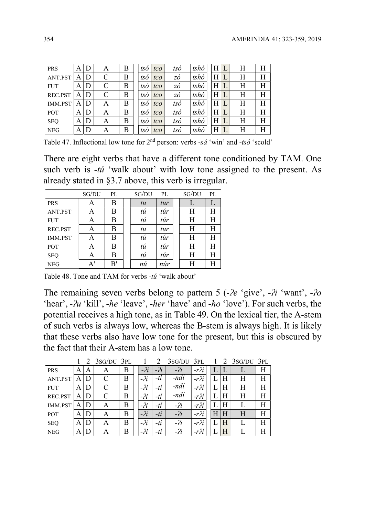| <b>PRS</b> | A | D | А            | Β | tso | tco | tsó        | tshò | H | Η | Н |
|------------|---|---|--------------|---|-----|-----|------------|------|---|---|---|
| ANT.PST    | A | D | C            | B | tsó | tco | ΖÓ         | tshó | Н | Η | Η |
| <b>FUT</b> | A | D | $\mathsf{C}$ | B | tsó | tco | ΖÓ         | tshó | Η | Η | Η |
| REC.PST    | A | D | C            | B | tsó | tco | ΖÓ         | tshó | Η | Η | Η |
| IMM.PST    | A | D | A            | B | tsó | tco | tsó        | tshó | Η | Η | Η |
| <b>POT</b> | A | D | Α            | B | tsó | tco | $\iota$ só | tshó | Η | Η | Η |
| <b>SEQ</b> | A | D | Α            | B | tsó | tco | $\iota$ só | tshó | Η | Η | Η |
| <b>NEG</b> | A | D | Α            | B | tsó | tco | tsó        | tshó | Н | Η | Н |

Table 47. Inflectional low tone for  $2<sup>nd</sup>$  person: verbs  $-s\acute{a}$  'win' and  $-ts\acute{o}$  'scold'

There are eight verbs that have a different tone conditioned by TAM. One such verb is  $-t$ u' 'walk about' with low tone assigned to the present. As already stated in §3.7 above, this verb is irregular.

|            | SG/DU | PL | SG/DU                | PL                    | SG/DU | PL |
|------------|-------|----|----------------------|-----------------------|-------|----|
| <b>PRS</b> | А     | Β  | tu                   | tur                   |       |    |
| ANT.PST    | Α     | Β  | tú                   | túr                   | Η     | Η  |
| <b>FUT</b> | А     | B  | tú                   | túr                   | Η     | Η  |
| REC.PST    | А     | В  | tu                   | tur                   | Η     | Н  |
| IMM.PST    |       | B  | tú                   | túr                   | Η     | Н  |
| POT        |       | В  | tú                   | túr                   | Η     | Η  |
| <b>SEQ</b> |       | В  | tú                   | túr                   | Η     | Η  |
| NEG        | A'    | B' | $\overline{ }$<br>nů | $\overline{ }$<br>nur | Η     | Η  |

Table 48. Tone and TAM for verbs -tú 'walk about'

The remaining seven verbs belong to pattern 5 ( $-e^i$  'give',  $-i$ ' want',  $-i$ o 'hear',  $-\lambda u$  'kill',  $-he$  'leave',  $-her$  'have' and  $-ho$  'love'). For such verbs, the potential receives a high tone, as in Table 49. On the lexical tier, the A-stem of such verbs is always low, whereas the B-stem is always high. It is likely that these verbs also have low tone for the present, but this is obscured by the fact that their A-stem has a low tone.

|            |   |   | $3SG/DU$ $3PL$ |   |         | $\overline{2}$ | 3sG/DU | 3PL                 |   |   | $2 \frac{3}{5}$ G/DU $3$ PL |   |
|------------|---|---|----------------|---|---------|----------------|--------|---------------------|---|---|-----------------------------|---|
| <b>PRS</b> | A | А | Α              | Β | $-i$    | $-2i$          | $-2i$  | $-r$ <sup>2</sup> i |   |   |                             | Η |
| ANT.PST    | A | D | C              | В | $-i^2i$ | $-ti$          | -ndi   | $-r \gamma$         |   | Н | Η                           | Н |
| <b>FUT</b> | A | D | $\mathsf{C}$   | B | $-i^2i$ | $-ti$          | -ndí   | $-r$ <sup>2</sup> i |   | Η | Н                           | Η |
| REC.PST    | A | D | $\mathsf{C}$   | B | $-i$    | $-ti$          | -ndí   | $-r \gamma$         |   | H | Η                           | Η |
| IMM.PST    | А | D | Α              | B | $-i^2i$ | $-ti$          | $-2i$  | $-r$ $2i$           |   | Η |                             | Η |
| <b>POT</b> | A | D | Α              | B | $-2i$   | $-ti$          | $-2i$  | $-r$ <sup>2</sup> i | Н | H | H                           | Η |
| <b>SEQ</b> | A | D | A              | B | $-2i$   | $-ti$          | $-2i$  | $-r$ $i$            | L | H |                             | H |
| <b>NEG</b> | A | D | A              | B | $-2i$   | -tí            | $-2i$  | $-r$ <sup>2</sup> i |   | H |                             | Η |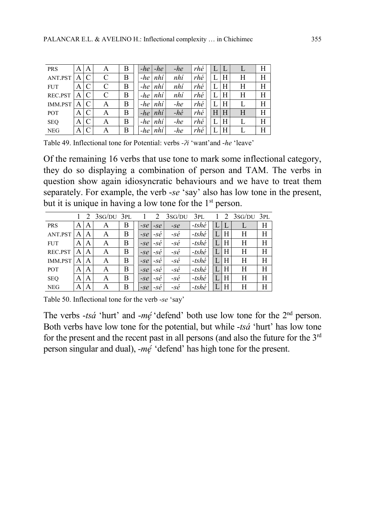| <b>PRS</b> | A | Α             | Α | Β | -he   | -he | $-he$         | rhé |   |   |   |   |
|------------|---|---------------|---|---|-------|-----|---------------|-----|---|---|---|---|
| ANT.PST    | A |               | C | В | -he   | nhí | nhí           | rhé |   | Н | Η | Η |
| <b>FUT</b> | А |               |   | B | -he   | nhí | nhí           | rhé |   | Η | Η |   |
| REC.PST    | А |               | C | B | $-he$ | nhí | nhí           | rhé |   | Η | Η | Η |
| IMM.PST    | A |               | A | В | -he   | nhí | $-he$         | rhé |   | Η |   |   |
| <b>POT</b> | A |               | A | B | -he   | nhí | $-h\acute{e}$ | rhé | Η | Η | Η | Н |
| <b>SEQ</b> | А | $\mathcal{C}$ | А | B | -he   | nhí | $-he$         | rhé |   | H |   |   |
| <b>NEG</b> |   | $\mathcal{C}$ | А | B | -he   | nhí | $-he$         | rhé |   | Η |   |   |

Table 49. Inflectional tone for Potential: verbs - $\lambda$ i 'want'and -he 'leave'

Of the remaining 16 verbs that use tone to mark some inflectional category, they do so displaying a combination of person and TAM. The verbs in question show again idiosyncratic behaviours and we have to treat them separately. For example, the verb -se 'say' also has low tone in the present, but it is unique in having a low tone for the 1<sup>st</sup> person.

|                |   | 2 | $3SG/DU$ $3PL$ |   |       |       | 3sG/DU        | 3PL             |   | $2$ 3sG/DU 3PL |   |
|----------------|---|---|----------------|---|-------|-------|---------------|-----------------|---|----------------|---|
| <b>PRS</b>     | A | Α | А              | Β | $-Se$ | $-Se$ | $-Se$         | $-tsh\acute{e}$ | L | L              | Η |
| ANT.PST        | A | Α | А              | Β | $-Se$ | -sė   | -sé           | $-tsh\acute{e}$ | Η | Η              | Η |
| <b>FUT</b>     | A | A | Α              | Β | $-Se$ | $-Se$ | $-s\acute{e}$ | $-tsh\acute{e}$ | Η | Η              | Η |
| REC.PST        | A | Α | A              | B | $-Se$ | $-Se$ | -sé           | $-tsh\acute{e}$ | H | Н              | Η |
| <b>IMM.PST</b> | A | Α | Α              | B | $-Se$ | $-Se$ | $-s\acute{e}$ | $-tsh\acute{e}$ | Η | Η              | Η |
| POT            | A | A | A              | B | $-Se$ | $-Se$ | $-se$         | -tshé           | Η | Η              | Η |
| <b>SEQ</b>     | A | A | Α              | B | $-Se$ | $-Se$ | -sé           | $-tsh\acute{e}$ | H | Н              | Η |
| <b>NEG</b>     | A | Α | Α              | Β | $-Se$ | $-se$ | $-s\dot{e}$   | $-tsh\acute{e}$ | H | Η              | Η |

Table 50. Inflectional tone for the verb -se 'say'

The verbs  $-ts\acute{a}$  'hurt' and  $-m\acute{e}$  'defend' both use low tone for the  $2<sup>nd</sup>$  person. Both verbs have low tone for the potential, but while -tsá 'hurt' has low tone for the present and the recent past in all persons (and also the future for the  $3<sup>rd</sup>$ person singular and dual), -mę՛ 'defend' has high tone for the present.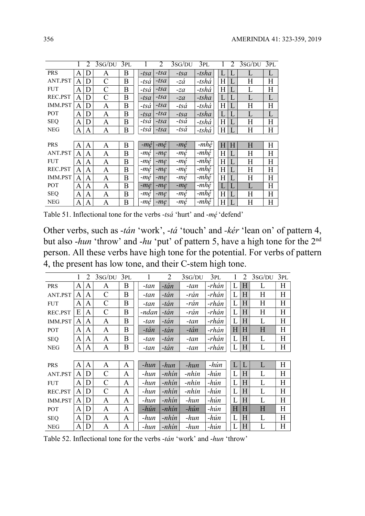|            |   | 2 | 3sG/DU         | 3PL |                | 2      | 3sG/DU         | $\overline{3}PL$ |   | $\mathcal{D}_{\mathcal{L}}$ | 3SG/DU | 3PL |
|------------|---|---|----------------|-----|----------------|--------|----------------|------------------|---|-----------------------------|--------|-----|
| <b>PRS</b> | Α | D | Α              | B   | $-tsa$         | $-tsa$ | -tsa           | $-tsha$          | L |                             | L      | L   |
| ANT.PST    | A | D | C              | B   | -tsá           | $-tsa$ | -zá            | -tshá            | H |                             | H      | Η   |
| <b>FUT</b> | A | D | $\mathsf{C}$   | B   | $-ts\acute{a}$ | $-tsa$ | -za            | -tshá            | H |                             | L      | H   |
| REC.PST    | Α | D | $\overline{C}$ | B   | $-tsa$         | $-tsa$ | $-za$          | $-tsha$          | T |                             | L      | L   |
| IMM.PST    | Α | D | A              | B   | -tsá           | $-tsa$ | $-ts\acute{a}$ | -tshá            | H |                             | Η      | Η   |
| <b>POT</b> | Α | D | A              | B   | $-tsa$         | $-tsa$ | $-tsa$         | $-tsha$          | L |                             | L      | L   |
| <b>SEQ</b> | A | D | A              | B   | -tså           | $-tsa$ | -tsá           | -tshá            | H |                             | Η      | Н   |
| <b>NEG</b> | A | A | A              | B   | -tså           | $-tsa$ | -tsá           | -tshá            | H |                             | Η      | Η   |
|            |   |   |                |     |                |        |                |                  |   |                             |        |     |
| <b>PRS</b> | Α | A | A              | B   | -mę            | -mé    | -mé            | -mhé             | H | Η                           | H      | Η   |
| ANT.PST    | Α | A | A              | B   | -mę            | $-me$  | -mé            | -mhé             | H |                             | Η      | Η   |
| <b>FUT</b> | A | A | A              | B   | -mę            | $-m$ e | -mę            | -mhé             | H |                             | Η      | Η   |
| REC.PST    | A | A | A              | B   | -mę            | $-me$  | -mę            | -mhé             | H |                             | Η      | Η   |
| IMM.PST    | A | A | A              | B   | -me            | $-me$  | -mę            | -mhé             | H | L                           | Н      | Η   |
| <b>POT</b> | A | A | A              | B   | $-m$ e         | $-me$  | $-me$          | -mhé             | L | L                           | L      | H   |
| <b>SEQ</b> | A | A | A              | B   | -me            | $-me$  | -mę            | -mhé             | H | L                           | Η      | Η   |
| <b>NEG</b> | Α | A | A              | B   | -me            | $-me$  | -mé            | -mhé             | H | L                           | Н      | Η   |

Table 51. Inflectional tone for the verbs -tsá 'hurt' and -mé 'defend'

Other verbs, such as -tán 'work', -tá 'touch' and -kér 'lean on' of pattern 4, but also -hun 'throw' and -hu 'put' of pattern 5, have a high tone for the  $2<sup>nd</sup>$ person. All these verbs have high tone for the potential. For verbs of pattern 4, the present has low tone, and their C-stem high tone.

|            |   | 2            | 3sG/DU       | 3PL |       | 2      | 3sG/DU | 3PL   |   | 2         | 3sG/DU | 3PL |
|------------|---|--------------|--------------|-----|-------|--------|--------|-------|---|-----------|--------|-----|
| <b>PRS</b> | A | A            | A            | B   | -tan  | -tán   | -tan   | -rhán | L | H         | L      | Η   |
| ANT.PST    | A | A            | $\mathbf C$  | B   | -tan  | $-tán$ | -rán   | -rhán | L | H         | Η      | H   |
| <b>FUT</b> | A | A            | C            | B   | -tan  | $-tán$ | -rán   | -rhán | L | H         | H      | Η   |
| REC.PST    | E | A            | $\mathsf{C}$ | B   | -ndan | -tán   | -rán   | -rhán | L | H         | H      | Η   |
| IMM.PST    | A | A            | A            | B   | -tan  | $-tán$ | -tan   | -rhán | L | H         | L      | H   |
| POT        | A | A            | A            | B   | -tán  | $-tán$ | -tán   | -rhán | H | H         | H      | H   |
| <b>SEQ</b> | A | A            | A            | B   | -tan  | -tán   | -tan   | -rhán | L | H         | L      | H   |
| <b>NEG</b> | A | A            | A            | B   | -tan  | -tán   | -tan   | -rhán | L | $H_{\rm}$ | L      | H   |
|            |   |              |              |     |       |        |        |       |   |           |        |     |
| <b>PRS</b> | A | $\mathbf{A}$ | A            | A   | -hun  | $-hun$ | -hun   | -hún  | L | L         | L      | H   |
| ANT.PST    | A | D            | $\mathsf{C}$ | A   | -hun  | -nhín  | -nhin  | -hún  | L | H         | L      | H   |
| <b>FUT</b> | A | D            | $\mathsf{C}$ | A   | -hun  | -nhín  | -nhin  | -hún  | L | H         | L      | Η   |
| REC.PST    | A | D            | $\mathsf{C}$ | A   | -hun  | -nhín  | -nhin  | -hún  | L | H         | L      | Η   |
| IMM.PST    | A | D            | A            | A   | -hun  | -nhín  | -hun   | -hún  | L | H         | L      | H   |
| POT        | A | D            | A            | A   | -hún  | -nhín  | -hún   | -hún  | H | H         | H      | H   |
| <b>SEQ</b> | A | D            | A            | A   | -hun  | -nhín  | -hun   | -hún  | L | H         | L      | H   |
| <b>NEG</b> | A | D            | A            | A   | -hun  | -nhín  | -hun   | -hún  | L | H         | L      | H   |

Table 52. Inflectional tone for the verbs -tán 'work' and -hun 'throw'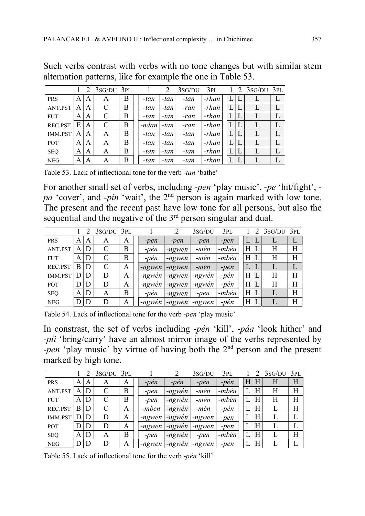|                |   |   | $2 \frac{3}{5}$ G/DU $3$ PL |   |       | 2    | 3sG/DU | 3PL     |   |   | $2 \frac{3}{5}$ G/DU $3$ PL |   |
|----------------|---|---|-----------------------------|---|-------|------|--------|---------|---|---|-----------------------------|---|
| <b>PRS</b>     | A | A | Α                           | Β | -tan  | -tan | -tan   | -rhan   | L |   |                             | L |
| ANT.PST        | A | A |                             | Β | -tan  | -tan | -ran   | -rhan   | L |   |                             |   |
| <b>FUT</b>     | A | A | $\mathcal{C}_{\mathcal{C}}$ | B | -tan  | -tan | -ran   | -rhan   | L | L |                             |   |
| REC.PST        | Е | A | $\mathcal{C}_{\mathcal{C}}$ | B | -ndan | -tan | -ran   | -rhan   | L | L |                             |   |
| <b>IMM.PST</b> | A | A | A                           | B | -tan  | -tan | -tan   | $-rhan$ | L | L |                             |   |
| <b>POT</b>     | A | A | A                           | B | -tan  | -tan | -tan   | $-rhan$ | L | L |                             |   |
| <b>SEQ</b>     | A | A | A                           | B | -tan  | -tan | -tan   | $-rhan$ | L | L |                             |   |
| <b>NEG</b>     | Α | A | A                           | B | -tan  | -tan | -tan   | $-rhan$ | L |   | L                           |   |

Such verbs contrast with verbs with no tone changes but with similar stem alternation patterns, like for example the one in Table 53.

Table 53. Lack of inflectional tone for the verb -tan 'bathe'

For another small set of verbs, including -pen 'play music', -pe 'hit/fight', pa 'cover', and -pin 'wait', the 2<sup>nd</sup> person is again marked with low tone. The present and the recent past have low tone for all persons, but also the sequential and the negative of the  $3<sup>rd</sup>$  person singular and dual.

|                |   |   | $3SG/DU$ $3PL$ |   |        |          | 3sG/DU | 3PL    |   | $3SG/DU$ $3PL$ |   |
|----------------|---|---|----------------|---|--------|----------|--------|--------|---|----------------|---|
| <b>PRS</b>     | A | A | A              | А | -pen   | -pen     | -pen   | -pen   |   |                |   |
| ANT.PST        | A | D | C              | B | -pen   | -ngwen   | -men   | -mbén  | Η | Н              | Н |
| <b>FUT</b>     | A | D |                | B | -pèn   | -ngwen   | -men   | -mbén  | Η | Η              | Η |
| REC.PST        | B | D |                | A | -ngwen | -ngwen   | -men   | $-pen$ | L |                |   |
| <b>IMM.PST</b> |   | D | D              | A | -ngwén | -ngwen   | -ngwén | -pen   | Η | Н              | Η |
| <b>POT</b>     |   | D | D              | Α | -ngwén | -ngwen   | -ngwen | -pèn   | Η | Η              | Η |
| <b>SEQ</b>     | A | D | A              | B | -pen   | -ngwen   | -pen   | -mbén  | H |                | H |
| <b>NEG</b>     |   | D |                | А | -ngwén | $-newen$ | -ngwen | -pèn   | Η |                | H |

Table 54. Lack of inflectional tone for the verb -pen 'play music'

In constrast, the set of verbs including -pén 'kill', -páa 'look hither' and -píi 'bring/carry' have an almost mirror image of the verbs represented by -pen 'play music' by virtue of having both the 2<sup>nd</sup> person and the present marked by high tone.

|                |   |   | $3sG/DU$ $3PL$ |   |        |        | 3SG/DU | 3pl   |   |   | $3SG/DU$ $3PL$ |   |
|----------------|---|---|----------------|---|--------|--------|--------|-------|---|---|----------------|---|
| <b>PRS</b>     | A | A | A              | А | -pèn   | -pen   | $-pen$ | -pen  | Н | Н | H              | Н |
| ANT.PST        | A | D |                | B | -pen   | -ngwén | -mèn   | -mbén |   | Η | Η              | H |
| <b>FUT</b>     | A | D | $\mathsf{C}$   | B | -pen   | -ngwén | -mèn   | -mbén |   | H | Η              | H |
| REC.PST        | B | D |                | Α | -mben  | -ngwén | -mèn   | -pén  |   | H |                | H |
| <b>IMM.PST</b> |   | D | D              | A | -ngwen | -ngwén | -ngwen | -pen  |   | H |                |   |
| <b>POT</b>     |   | D | D              | Α | -ngwen | -ngwén | -ngwen | -pen  |   | H |                |   |
| <b>SEQ</b>     | A | D | A              | B | -pen   | -ngwén | -pen   | -mbén |   | Η |                | Η |
| <b>NEG</b>     |   | D | D              | Α | -ngwen | -ngwén | -ngwen | -pen  |   | H |                |   |

Table 55. Lack of inflectional tone for the verb -pén 'kill'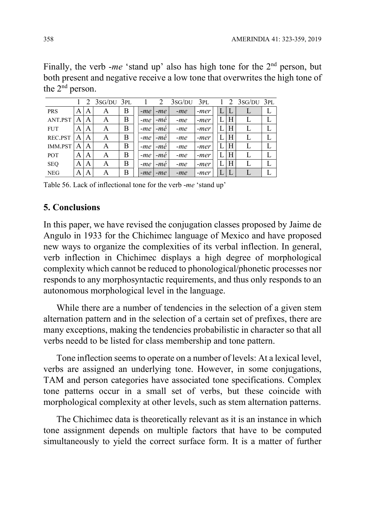Finally, the verb -me 'stand up' also has high tone for the  $2<sup>nd</sup>$  person, but both present and negative receive a low tone that overwrites the high tone of the  $2^{nd}$  person.

|                |   |   | $2$ 3sg/DU 3PL |   |       | 2     | 3sG/DU | 3PL  |  |   | $2 \text{ 3SG/DU} 3PL$ |  |
|----------------|---|---|----------------|---|-------|-------|--------|------|--|---|------------------------|--|
| <b>PRS</b>     | A | A | А              | B | $-me$ | $-me$ | $-me$  | -mer |  | L |                        |  |
| ANT.PST        | A | A | A              | Β | -me   | -me   | $-me$  | -mer |  | Η |                        |  |
| <b>FUT</b>     | А | A | A              | B | $-me$ | $-me$ | $-me$  | -mer |  | H |                        |  |
| REC.PST        | A | A | А              | Β | -me   | -me   | -me    | -mer |  | H |                        |  |
| <b>IMM.PST</b> | A | A | А              | B | -me   | -me   | -me    | -mer |  | H |                        |  |
| <b>POT</b>     | A | A | A              | B | $-me$ | -mé   | -me    | -mer |  | H |                        |  |
| <b>SEQ</b>     | A | A | A              | Β | -me   | $-me$ | -me    | -mer |  | H |                        |  |
| <b>NEG</b>     | А | A | А              | B | $-me$ | $-me$ | $-me$  | -mer |  | L |                        |  |

Table 56. Lack of inflectional tone for the verb -me 'stand up'

## 5. Conclusions

In this paper, we have revised the conjugation classes proposed by Jaime de Angulo in 1933 for the Chichimec language of Mexico and have proposed new ways to organize the complexities of its verbal inflection. In general, verb inflection in Chichimec displays a high degree of morphological complexity which cannot be reduced to phonological/phonetic processes nor responds to any morphosyntactic requirements, and thus only responds to an autonomous morphological level in the language.

While there are a number of tendencies in the selection of a given stem alternation pattern and in the selection of a certain set of prefixes, there are many exceptions, making the tendencies probabilistic in character so that all verbs needd to be listed for class membership and tone pattern.

Tone inflection seems to operate on a number of levels: At a lexical level, verbs are assigned an underlying tone. However, in some conjugations, TAM and person categories have associated tone specifications. Complex tone patterns occur in a small set of verbs, but these coincide with morphological complexity at other levels, such as stem alternation patterns.

The Chichimec data is theoretically relevant as it is an instance in which tone assignment depends on multiple factors that have to be computed simultaneously to yield the correct surface form. It is a matter of further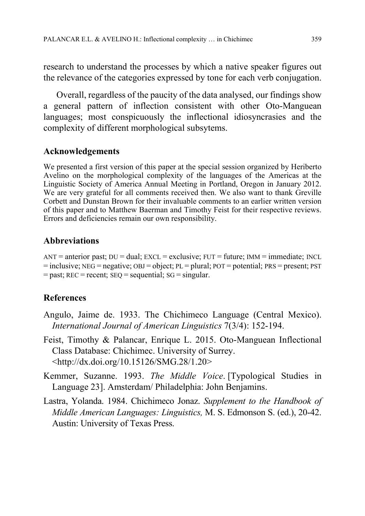research to understand the processes by which a native speaker figures out the relevance of the categories expressed by tone for each verb conjugation.

Overall, regardless of the paucity of the data analysed, our findings show a general pattern of inflection consistent with other Oto-Manguean languages; most conspicuously the inflectional idiosyncrasies and the complexity of different morphological subsytems.

# Acknowledgements

We presented a first version of this paper at the special session organized by Heriberto Avelino on the morphological complexity of the languages of the Americas at the Linguistic Society of America Annual Meeting in Portland, Oregon in January 2012. We are very grateful for all comments received then. We also want to thank Greville Corbett and Dunstan Brown for their invaluable comments to an earlier written version of this paper and to Matthew Baerman and Timothy Feist for their respective reviews. Errors and deficiencies remain our own responsibility.

## Abbreviations

 $ANT = anterior$  past;  $DU = dual$ ;  $EXCL = exclusive$ ;  $FUT = future$ ;  $IM = immediate$ ;  $NCL$  $=$  inclusive; NEG = negative; OBJ = object; PL = plural; POT = potential; PRS = present; PST  $=$  past; REC = recent; SEQ = sequential; SG = singular.

# References

- Angulo, Jaime de. 1933. The Chichimeco Language (Central Mexico). International Journal of American Linguistics 7(3/4): 152-194.
- Feist, Timothy & Palancar, Enrique L. 2015. Oto-Manguean Inflectional Class Database: Chichimec. University of Surrey. <http://dx.doi.org/10.15126/SMG.28/1.20>
- Kemmer, Suzanne. 1993. The Middle Voice. [Typological Studies in Language 23]. Amsterdam/ Philadelphia: John Benjamins.
- Lastra, Yolanda. 1984. Chichimeco Jonaz. Supplement to the Handbook of Middle American Languages: Linguistics, M. S. Edmonson S. (ed.), 20-42. Austin: University of Texas Press.